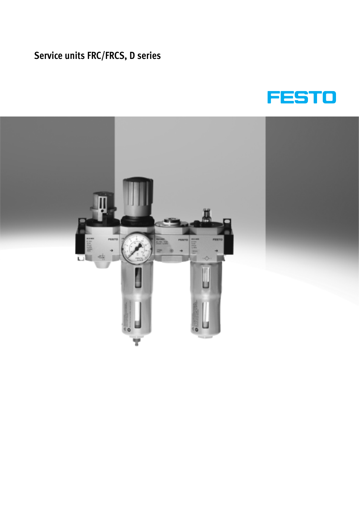# **Service units FRC/FRCS, D series**



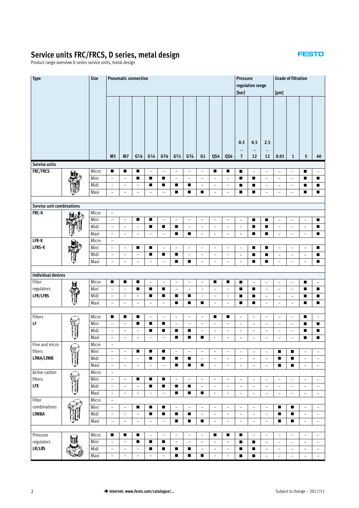Product range overview D series service units, metal design

| <b>Type</b>               |    | <b>Size</b>   | <b>Pneumatic connection</b>                          |                                                      |                                                      |                               |                               |                                                      |                                               | Pressure                                      |                                                      |                                                      | <b>Grade of filtration</b> |                                            |                                        |                                                      |                                        |                          |                                                      |
|---------------------------|----|---------------|------------------------------------------------------|------------------------------------------------------|------------------------------------------------------|-------------------------------|-------------------------------|------------------------------------------------------|-----------------------------------------------|-----------------------------------------------|------------------------------------------------------|------------------------------------------------------|----------------------------|--------------------------------------------|----------------------------------------|------------------------------------------------------|----------------------------------------|--------------------------|------------------------------------------------------|
|                           |    |               |                                                      |                                                      |                                                      |                               |                               |                                                      |                                               |                                               |                                                      |                                                      |                            | regulation range                           |                                        |                                                      |                                        |                          |                                                      |
|                           |    |               |                                                      |                                                      |                                                      |                               |                               |                                                      |                                               |                                               |                                                      |                                                      | [bar]                      |                                            |                                        | $[\mu m]$                                            |                                        |                          |                                                      |
|                           |    |               |                                                      |                                                      |                                                      |                               |                               |                                                      |                                               |                                               |                                                      |                                                      |                            |                                            |                                        |                                                      |                                        |                          |                                                      |
|                           |    |               |                                                      |                                                      |                                                      |                               |                               |                                                      |                                               |                                               |                                                      |                                                      |                            |                                            |                                        |                                                      |                                        |                          |                                                      |
|                           |    |               |                                                      |                                                      |                                                      |                               |                               |                                                      |                                               |                                               |                                                      |                                                      |                            |                                            |                                        |                                                      |                                        |                          |                                                      |
|                           |    |               |                                                      |                                                      |                                                      |                               |                               |                                                      |                                               |                                               |                                                      |                                                      |                            |                                            |                                        |                                                      |                                        |                          |                                                      |
|                           |    |               |                                                      |                                                      |                                                      |                               |                               |                                                      |                                               |                                               |                                                      |                                                      |                            |                                            |                                        |                                                      |                                        |                          |                                                      |
|                           |    |               |                                                      |                                                      |                                                      |                               |                               |                                                      |                                               |                                               |                                                      |                                                      | 0.5                        | 0.5                                        | 2.5                                    |                                                      |                                        |                          |                                                      |
|                           |    |               |                                                      |                                                      |                                                      |                               |                               |                                                      |                                               |                                               |                                                      |                                                      |                            | $\cdots$                                   | $\cdots$                               |                                                      |                                        |                          |                                                      |
|                           |    |               | M <sub>5</sub>                                       | M7                                                   | $G\frac{1}{8}$                                       | G <sup>1</sup> / <sub>4</sub> | $G\frac{3}{8}$                | G <sup>1</sup> /2                                    | $G_{4}^{3/4}$                                 | G1                                            | QS4                                                  | QS6                                                  | 7                          | 12                                         | 12                                     | 0.01                                                 | 1                                      | 5                        | 40                                                   |
| Service units<br>FRC/FRCS |    |               |                                                      |                                                      |                                                      |                               |                               |                                                      |                                               |                                               | П                                                    |                                                      |                            |                                            |                                        |                                                      |                                        |                          |                                                      |
|                           |    | Micro<br>Mini | ٠<br>$\qquad \qquad -$                               | ■<br>$\overline{\phantom{a}}$                        | п<br>п                                               | $\qquad \qquad -$<br>п        | $\overline{\phantom{a}}$<br>■ | $\overline{\phantom{a}}$<br>$\overline{\phantom{a}}$ | $\overline{\phantom{a}}$<br>$\qquad \qquad -$ | $\overline{\phantom{a}}$                      | $\overline{\phantom{a}}$                             | п<br>$\qquad \qquad -$                               | п<br>п                     | $\overline{\phantom{a}}$<br>$\blacksquare$ | $\overline{\phantom{a}}$               | $\overline{\phantom{a}}$                             | $\overline{\phantom{0}}$               | п<br>$\blacksquare$      | $\overline{\phantom{a}}$<br>■                        |
|                           |    | Midi          | $\overline{\phantom{0}}$                             | -                                                    | $\overline{\phantom{a}}$                             | п                             | ■                             | ■                                                    | п                                             | $\qquad \qquad -$<br>$\overline{\phantom{0}}$ | $\overline{\phantom{a}}$                             | $\overline{\phantom{a}}$                             | ■                          | п                                          | $\qquad \qquad -$<br>$\qquad \qquad -$ | $\overline{\phantom{a}}$<br>$\overline{\phantom{a}}$ | $\qquad \qquad -$<br>$\qquad \qquad -$ | п                        | ■                                                    |
|                           |    | Maxi          | $\overline{a}$                                       | L.                                                   | $\overline{\phantom{0}}$                             | $\overline{\phantom{0}}$      | $\overline{a}$                | п                                                    | $\blacksquare$                                | п                                             | $\overline{\phantom{m}}$                             | $\qquad \qquad -$                                    | п                          | П                                          | $\overline{\phantom{0}}$               | $\overline{a}$                                       | $\overline{\phantom{a}}$               | п                        | ■                                                    |
|                           |    |               |                                                      |                                                      |                                                      |                               |                               |                                                      |                                               |                                               |                                                      |                                                      |                            |                                            |                                        |                                                      |                                        |                          |                                                      |
| Service unit combinations |    |               |                                                      |                                                      |                                                      |                               |                               |                                                      |                                               |                                               |                                                      |                                                      |                            |                                            |                                        |                                                      |                                        |                          |                                                      |
| FRC-K                     |    | Micro         | $\overline{\phantom{a}}$                             |                                                      |                                                      |                               |                               |                                                      |                                               |                                               |                                                      |                                                      |                            |                                            |                                        |                                                      |                                        |                          |                                                      |
|                           |    | Mini          | $\overline{\phantom{0}}$                             | $\overline{\phantom{a}}$                             | ■                                                    | п                             | $\overline{\phantom{a}}$      | $\overline{\phantom{a}}$                             | $\overline{\phantom{a}}$                      | $\overline{\phantom{a}}$                      | $\overline{\phantom{a}}$                             | $\overline{\phantom{a}}$                             | $\overline{\phantom{a}}$   | п                                          | ■                                      | $\qquad \qquad -$                                    | $\overline{\phantom{a}}$               | $\qquad \qquad -$        | ■                                                    |
|                           |    | Midi          | $\overline{a}$                                       | $\overline{\phantom{0}}$                             | $\overline{\phantom{a}}$                             | п                             | п                             | п                                                    | $\overline{\phantom{a}}$                      | $\overline{\phantom{a}}$                      | $\overline{\phantom{a}}$                             | $\qquad \qquad -$                                    | $\overline{\phantom{a}}$   | п                                          | ■                                      | $\overline{\phantom{a}}$                             | $\overline{\phantom{0}}$               | $\overline{a}$           | п                                                    |
|                           |    | Maxi          | $\equiv$                                             | $\equiv$                                             | $\overline{\phantom{a}}$                             | $\bar{ }$                     | $\overline{\phantom{0}}$      | п                                                    | $\blacksquare$                                | $\bar{ }$                                     | $\overline{\phantom{a}}$                             | $\equiv$                                             | $\equiv$                   | $\blacksquare$                             | $\blacksquare$                         | $\equiv$                                             | $\qquad \qquad -$                      | $\overline{\phantom{0}}$ | $\blacksquare$                                       |
| LFR-K                     |    | Micro         | $\overline{\phantom{a}}$                             |                                                      |                                                      |                               |                               |                                                      |                                               |                                               |                                                      |                                                      |                            |                                            |                                        |                                                      |                                        |                          |                                                      |
| LFRS-K                    |    | Mini          | $\overline{\phantom{0}}$                             | $\overline{\phantom{a}}$                             | ٠                                                    | п                             | $\overline{\phantom{a}}$      | $\overline{\phantom{a}}$                             | $\overline{\phantom{a}}$                      | $\qquad \qquad -$                             | $\overline{\phantom{a}}$                             | $\overline{\phantom{a}}$                             | $\overline{\phantom{a}}$   | п                                          | ■                                      | $\qquad \qquad -$                                    | $\overline{\phantom{0}}$               | $\overline{\phantom{0}}$ | ■                                                    |
|                           |    | Midi<br>Maxi  | $\overline{\phantom{a}}$<br>$\overline{a}$           | $\qquad \qquad -$                                    | $\overline{\phantom{a}}$<br>$\overline{\phantom{a}}$ | п                             | ■                             | ■<br>■                                               | $\overline{\phantom{a}}$<br>$\blacksquare$    | $\overline{\phantom{a}}$                      | $\overline{\phantom{a}}$<br>$\overline{\phantom{a}}$ | $\overline{\phantom{a}}$<br>$\overline{\phantom{a}}$ | $\overline{\phantom{a}}$   | п                                          | ■                                      | $\overline{\phantom{a}}$                             | $\overline{\phantom{a}}$               | $\overline{\phantom{0}}$ | ■                                                    |
|                           |    |               |                                                      | $\qquad \qquad -$                                    |                                                      | $\qquad \qquad -$             | $\qquad \qquad -$             |                                                      |                                               | $\qquad \qquad -$                             |                                                      |                                                      | $\overline{\phantom{a}}$   | $\blacksquare$                             | ■                                      | $\overline{\phantom{a}}$                             | $\overline{\phantom{a}}$               | $\overline{\phantom{a}}$ | ■                                                    |
| <b>Individual devices</b> |    |               |                                                      |                                                      |                                                      |                               |                               |                                                      |                                               |                                               |                                                      |                                                      |                            |                                            |                                        |                                                      |                                        |                          |                                                      |
| Filter                    | mí | Micro         | ٠                                                    | п                                                    | п                                                    | $\overline{\phantom{a}}$      | $\qquad \qquad -$             | $\overline{\phantom{a}}$                             | $\overline{\phantom{a}}$                      | $\overline{\phantom{a}}$                      | П                                                    | П                                                    | п                          | $\overline{\phantom{a}}$                   | $\overline{\phantom{a}}$               | $\overline{\phantom{a}}$                             | $\overline{\phantom{a}}$               | п                        | $\overline{\phantom{a}}$                             |
| regulators                |    | Mini          | $\overline{a}$                                       | $\overline{\phantom{a}}$                             | п                                                    | п                             | п                             | $\overline{\phantom{a}}$                             | $\equiv$                                      | $\qquad \qquad -$                             | $\overline{\phantom{a}}$                             | $\qquad \qquad -$                                    | п                          | $\blacksquare$                             | $\overline{\phantom{a}}$               | $\overline{\phantom{a}}$                             | $\overline{\phantom{a}}$               | $\blacksquare$           | п                                                    |
| LFR/LFRS                  |    | Midi          | $\overline{\phantom{a}}$                             | $\overline{\phantom{a}}$                             | $\overline{\phantom{a}}$                             | п                             | ■                             | ■                                                    | $\blacksquare$                                | $\overline{\phantom{a}}$                      | $\overline{\phantom{a}}$                             | $\overline{\phantom{a}}$                             | $\blacksquare$             | $\blacksquare$                             | $\overline{\phantom{a}}$               | $\overline{\phantom{a}}$                             | $\overline{\phantom{a}}$               | $\blacksquare$           | ■                                                    |
|                           | I  | Maxi          | $\overline{\phantom{a}}$                             | $\qquad \qquad -$                                    | $\overline{\phantom{a}}$                             | $\overline{\phantom{a}}$      | $\qquad \qquad -$             | п                                                    | п                                             | п                                             | $\overline{\phantom{a}}$                             | $\overline{\phantom{a}}$                             | п                          | п                                          | $\overline{\phantom{a}}$               | $\overline{\phantom{a}}$                             | $\overline{\phantom{a}}$               | п                        | п                                                    |
|                           |    |               |                                                      |                                                      |                                                      |                               |                               |                                                      |                                               |                                               |                                                      |                                                      |                            |                                            |                                        |                                                      |                                        |                          |                                                      |
| Filters                   |    | Micro         | п                                                    | п                                                    | п                                                    | $\overline{\phantom{a}}$      | $\overline{\phantom{a}}$      | $\overline{\phantom{a}}$                             | $\overline{\phantom{a}}$                      | $\overline{\phantom{a}}$                      | $\blacksquare$                                       | ■                                                    | $\overline{\phantom{a}}$   | $\overline{\phantom{a}}$                   | $\overline{\phantom{a}}$               | $\overline{\phantom{a}}$                             | $\overline{\phantom{a}}$               | п                        | $\overline{\phantom{a}}$                             |
| LF                        |    | Mini          | $\overline{a}$                                       | $\overline{\phantom{a}}$                             | ٠                                                    | п                             | п                             | $\overline{\phantom{a}}$                             | $\overline{\phantom{a}}$                      | $\overline{\phantom{a}}$                      | $\overline{\phantom{a}}$                             | $\overline{\phantom{a}}$                             | $\overline{\phantom{a}}$   | $\overline{\phantom{a}}$                   | $\overline{\phantom{a}}$               | $\overline{\phantom{a}}$                             | $\overline{\phantom{a}}$               | п                        | ■                                                    |
|                           |    | Midi<br>Maxi  | $\overline{\phantom{a}}$<br>$\overline{\phantom{0}}$ | $\overline{\phantom{a}}$<br>$\overline{\phantom{a}}$ | $\overline{\phantom{a}}$<br>$\overline{\phantom{a}}$ | п<br>$\overline{\phantom{a}}$ | ■<br>$\overline{\phantom{0}}$ | ■<br>■                                               | п<br>$\blacksquare$                           | $\qquad \qquad -$<br>П                        | $\overline{\phantom{a}}$<br>$\overline{\phantom{a}}$ | $\overline{\phantom{a}}$<br>$\overline{\phantom{a}}$ | $\overline{\phantom{a}}$   | $\overline{\phantom{a}}$                   | $\overline{\phantom{a}}$               | $\overline{\phantom{a}}$                             | $\overline{\phantom{0}}$               | п<br>$\blacksquare$      | ■<br>■                                               |
| Fine and micro            |    | Micro         | $\overline{\phantom{0}}$                             |                                                      |                                                      |                               |                               |                                                      |                                               |                                               |                                                      |                                                      | $\qquad \qquad -$          | $\qquad \qquad -$                          | $\qquad \qquad -$                      | $\overline{\phantom{a}}$                             | $\qquad \qquad -$                      |                          |                                                      |
| filters                   |    | Mini          | $\overline{a}$                                       | $\overline{\phantom{0}}$                             | ٠                                                    | п                             | п                             | $\overline{\phantom{a}}$                             | $\overline{\phantom{a}}$                      | $\overline{\phantom{a}}$                      | $\overline{\phantom{a}}$                             | $\overline{\phantom{a}}$                             | $\overline{\phantom{a}}$   | $\overline{\phantom{a}}$                   | $\overline{\phantom{a}}$               | п                                                    | п                                      | $\bar{ }$                | $\overline{\phantom{a}}$                             |
| LFMA/LFMB                 |    | Midi          | $\overline{a}$                                       | $\overline{\phantom{a}}$                             | $\overline{\phantom{a}}$                             | п                             | п                             | п                                                    | $\blacksquare$                                | $\overline{\phantom{a}}$                      | $\overline{\phantom{a}}$                             | $\overline{\phantom{a}}$                             | $\overline{\phantom{a}}$   | $\overline{\phantom{a}}$                   | $\overline{\phantom{a}}$               | ٠                                                    | п                                      | $\overline{\phantom{0}}$ | $\overline{\phantom{a}}$                             |
|                           |    | Maxi          | $\qquad \qquad -$                                    | $\overline{\phantom{0}}$                             | $\overline{\phantom{a}}$                             | $\overline{\phantom{0}}$      | $\qquad \qquad -$             | ■                                                    | п                                             | п                                             | $\overline{\phantom{a}}$                             | $\overline{\phantom{a}}$                             | $\overline{\phantom{a}}$   | $\overline{\phantom{m}}$                   | $\overline{\phantom{a}}$               | $\blacksquare$                                       | п                                      | $\qquad \qquad -$        | $\overline{\phantom{a}}$                             |
| Active carbon             |    | Micro         | $\overline{\phantom{a}}$                             |                                                      |                                                      |                               |                               |                                                      |                                               |                                               |                                                      |                                                      |                            |                                            |                                        |                                                      |                                        |                          |                                                      |
| filters                   |    | Mini          | $\overline{\phantom{a}}$                             | $\qquad \qquad -$                                    | ٠                                                    | п                             | п                             | $\overline{\phantom{a}}$                             | $\qquad \qquad -$                             | $\overline{\phantom{a}}$                      | $\overline{\phantom{a}}$                             | $\overline{\phantom{a}}$                             | $\overline{\phantom{a}}$   | $\overline{\phantom{a}}$                   | $\overline{\phantom{a}}$               | $\overline{\phantom{a}}$                             | $\overline{\phantom{a}}$               | $\qquad \qquad -$        | $\overline{\phantom{a}}$                             |
| <b>LFX</b>                |    | Midi          | $\overline{\phantom{a}}$                             | $\qquad \qquad -$                                    | $\overline{\phantom{a}}$                             | п                             | п                             | п                                                    | п                                             | $\qquad \qquad -$                             | $\overline{\phantom{a}}$                             | $\overline{\phantom{a}}$                             | $\overline{\phantom{a}}$   | $\overline{\phantom{m}}$                   | $\overline{\phantom{a}}$               | $\overline{\phantom{a}}$                             | $\qquad \qquad -$                      | $\qquad \qquad -$        | $\qquad \qquad -$                                    |
|                           |    | Maxi          | $\overline{\phantom{0}}$                             | $\qquad \qquad -$                                    | $\overline{\phantom{a}}$                             | $\overline{\phantom{a}}$      | $\overline{\phantom{a}}$      | п                                                    | $\blacksquare$                                | п                                             | $\overline{\phantom{a}}$                             | $\overline{\phantom{a}}$                             | $\overline{\phantom{a}}$   | $\overline{\phantom{a}}$                   | $\overline{\phantom{a}}$               | $\overline{\phantom{a}}$                             | $\overline{\phantom{a}}$               | $\qquad \qquad -$        | $\overline{\phantom{a}}$                             |
| Filter                    |    | Micro         | $\equiv$                                             |                                                      |                                                      |                               |                               |                                                      |                                               |                                               |                                                      |                                                      |                            |                                            |                                        |                                                      |                                        |                          |                                                      |
| combinations              |    | Mini          | $\frac{1}{2}$                                        | $\overline{\phantom{a}}$                             | ٠                                                    | п                             | п                             | $\overline{\phantom{a}}$                             | $\overline{\phantom{a}}$                      | $\overline{\phantom{a}}$                      | $\overline{\phantom{a}}$                             | $\overline{\phantom{a}}$                             | $\overline{\phantom{a}}$   | $\overline{\phantom{a}}$                   | $\overline{\phantom{a}}$               | ٠                                                    | п                                      | $\overline{\phantom{a}}$ | $\overline{\phantom{a}}$                             |
| <b>LFMBA</b>              |    | Midi          | $\qquad \qquad -$                                    | $\overline{\phantom{a}}$                             | $\overline{\phantom{a}}$                             | п                             | п                             | ٠                                                    | п                                             | $\overline{\phantom{a}}$                      | $\overline{\phantom{a}}$                             | $\overline{\phantom{a}}$                             | $\overline{\phantom{a}}$   | $\overline{\phantom{a}}$                   | $\overline{\phantom{a}}$               | ٠                                                    | п                                      | $\overline{\phantom{a}}$ | $\overline{\phantom{a}}$                             |
|                           |    | Maxi          | $\overline{\phantom{a}}$                             | $\overline{\phantom{a}}$                             | $\overline{\phantom{a}}$                             | $\overline{\phantom{a}}$      | $\overline{\phantom{a}}$      | ٠                                                    | п                                             | п                                             | $\overline{\phantom{a}}$                             | $\overline{\phantom{0}}$                             | $\overline{\phantom{a}}$   | $\overline{\phantom{a}}$                   | $\overline{\phantom{a}}$               | ٠                                                    | п                                      | $\overline{\phantom{0}}$ | $\overline{\phantom{a}}$                             |
| Pressure                  |    | Micro         | $\blacksquare$                                       | п                                                    | ٠                                                    | $\overline{\phantom{a}}$      | $\overline{\phantom{a}}$      | $\overline{\phantom{a}}$                             | $\overline{\phantom{a}}$                      | $\overline{\phantom{a}}$                      | $\blacksquare$                                       | п                                                    | п                          | $\overline{\phantom{0}}$                   | $\overline{\phantom{a}}$               | $\overline{\phantom{a}}$                             | $\overline{\phantom{a}}$               | $\qquad \qquad -$        |                                                      |
| regulators                |    | Mini          | $\overline{a}$                                       | $\qquad \qquad -$                                    | ٠                                                    | п                             | п                             | $\overline{\phantom{a}}$                             | $\overline{\phantom{a}}$                      | $\qquad \qquad -$                             | $\overline{\phantom{a}}$                             | $\qquad \qquad -$                                    | П                          | п                                          | $\overline{\phantom{a}}$               | $\overline{\phantom{a}}$                             | $\overline{\phantom{a}}$               | $\overline{\phantom{0}}$ | $\overline{\phantom{a}}$<br>$\overline{\phantom{a}}$ |
| LR/LRS                    |    | Midi          | $\overline{\phantom{a}}$                             | $\overline{\phantom{a}}$                             | $\overline{\phantom{a}}$                             | п                             | п                             | п                                                    | п                                             | $\overline{\phantom{a}}$                      | $\overline{\phantom{a}}$                             | $\blacksquare$                                       | п                          | ٠                                          | $\overline{\phantom{a}}$               | $\overline{\phantom{a}}$                             | $\overline{\phantom{a}}$               | $\qquad \qquad -$        | $\overline{\phantom{a}}$                             |
|                           |    | Maxi          | $\overline{\phantom{a}}$                             | $\overline{\phantom{a}}$                             | $\overline{\phantom{0}}$                             | $\overline{\phantom{0}}$      | $\overline{\phantom{0}}$      | $\blacksquare$                                       | $\blacksquare$                                | п                                             | $\overline{\phantom{a}}$                             | $\overline{\phantom{0}}$                             | ■                          | $\blacksquare$                             | $\qquad \qquad -$                      | $\overline{\phantom{0}}$                             | $\qquad \qquad -$                      | $\overline{\phantom{0}}$ | $\overline{\phantom{a}}$                             |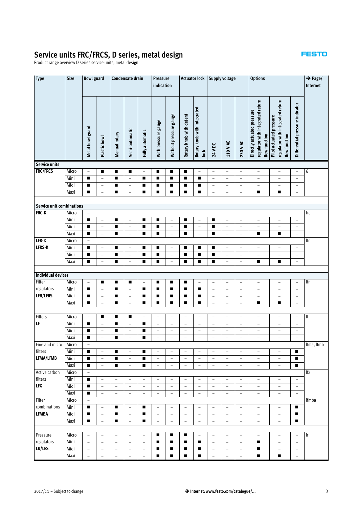Product range overview D series service units, metal design

| <b>Type</b>                        | <b>Size</b>  | <b>Bowl guard</b>        |                                                      |                                                      | Condensate drain                              |                                                      | Pressure<br>indication                               |                          |                          | <b>Actuator lock</b>                |                                                      | <b>Supply voltage</b>                                |                                               | <b>Options</b>                                                                  |                                                                              |                                                      | $\rightarrow$ Page/<br>Internet |
|------------------------------------|--------------|--------------------------|------------------------------------------------------|------------------------------------------------------|-----------------------------------------------|------------------------------------------------------|------------------------------------------------------|--------------------------|--------------------------|-------------------------------------|------------------------------------------------------|------------------------------------------------------|-----------------------------------------------|---------------------------------------------------------------------------------|------------------------------------------------------------------------------|------------------------------------------------------|---------------------------------|
|                                    |              | Metal bowl guard         | Plastic bowl                                         | Manual rotary                                        | Semi-automatic                                | Fully automatic                                      | With pressure gauge                                  | Without pressure gauge   | Rotary knob with detent  | Rotary knob with integrated<br>lock | 24 V DC                                              | 110 V AC                                             | 230 V AC                                      | regulator with integrated return<br>Directly actuated pressure<br>flow function | regulator with integrated return<br>Pilot actuated pressure<br>flow function | Differential pressure indicator                      |                                 |
| Service units                      |              |                          |                                                      |                                                      |                                               |                                                      |                                                      |                          |                          |                                     |                                                      |                                                      |                                               |                                                                                 |                                                                              |                                                      |                                 |
| <b>FRC/FRCS</b>                    | Micro        | $\overline{\phantom{a}}$ | п                                                    | ■                                                    | ■                                             | $\qquad \qquad -$                                    | п                                                    | ■                        | п                        | $\overline{\phantom{a}}$            | $\qquad \qquad -$                                    | $\overline{\phantom{a}}$                             | $\overline{\phantom{a}}$                      | $\qquad \qquad -$                                                               | $\overline{\phantom{a}}$                                                     | $\overline{\phantom{a}}$                             | 6                               |
|                                    | Mini         | п                        | $\overline{\phantom{a}}$                             | ■                                                    | $\overline{\phantom{0}}$                      | п                                                    | ■                                                    | ■                        | п                        | п                                   | $\overline{\phantom{a}}$                             | $\qquad \qquad -$                                    | $\overline{\phantom{m}}$                      | $\qquad \qquad -$                                                               | $\overline{\phantom{a}}$                                                     | $\overline{\phantom{a}}$                             |                                 |
|                                    | Midi         | ■                        | $\overline{\phantom{a}}$                             | ■                                                    | $\overline{\phantom{0}}$                      | ■                                                    | ■                                                    | ■                        | п                        | п                                   | $\qquad \qquad -$                                    | $\qquad \qquad -$                                    | $\qquad \qquad -$                             | $\qquad \qquad -$                                                               | -                                                                            | $\qquad \qquad -$                                    |                                 |
|                                    | Maxi         | ■                        | $\overline{\phantom{a}}$                             | п                                                    | $\qquad \qquad -$                             | ■                                                    | П                                                    | ■                        | п                        | п                                   | $\overline{\phantom{a}}$                             | $\qquad \qquad -$                                    | $\qquad \qquad -$                             | ■                                                                               | п                                                                            | $\overline{\phantom{a}}$                             |                                 |
|                                    |              |                          |                                                      |                                                      |                                               |                                                      |                                                      |                          |                          |                                     |                                                      |                                                      |                                               |                                                                                 |                                                                              |                                                      |                                 |
| Service unit combinations<br>FRC-K | Micro        | $\overline{\phantom{a}}$ |                                                      |                                                      |                                               |                                                      |                                                      |                          |                          |                                     |                                                      |                                                      |                                               |                                                                                 |                                                                              |                                                      | $\operatorname{\sf frc}$        |
|                                    | Mini         | п                        | $\overline{\phantom{a}}$                             | ■                                                    | $\qquad \qquad -$                             | п                                                    | п                                                    | $\overline{\phantom{0}}$ | п                        | $\overline{\phantom{a}}$            | ■                                                    | $\overline{\phantom{a}}$                             | $\overline{\phantom{0}}$                      | $\qquad \qquad -$                                                               | $\overline{\phantom{0}}$                                                     | $\qquad \qquad -$                                    |                                 |
|                                    | Midi         | ■                        | $\overline{\phantom{a}}$                             | ■                                                    | $\overline{\phantom{a}}$                      | п                                                    | ■                                                    | $\overline{\phantom{a}}$ | ■                        | $\overline{\phantom{a}}$            | ■                                                    | $\overline{\phantom{a}}$                             | $\qquad \qquad -$                             | $\overline{\phantom{a}}$                                                        | $\overline{\phantom{0}}$                                                     | $\overline{\phantom{a}}$                             |                                 |
|                                    | Maxi         | ■                        | $\overline{\phantom{a}}$                             | п                                                    | $\overline{\phantom{a}}$                      | п                                                    | п                                                    | $\overline{\phantom{a}}$ | $\blacksquare$           | $\overline{\phantom{a}}$            | ■                                                    | $\overline{\phantom{a}}$                             | $\qquad \qquad -$                             | п                                                                               | $\blacksquare$                                                               | $\overline{\phantom{a}}$                             |                                 |
| $LFR-K$                            | Micro        | $\overline{\phantom{a}}$ |                                                      |                                                      |                                               |                                                      |                                                      |                          |                          |                                     |                                                      |                                                      |                                               |                                                                                 |                                                                              |                                                      | lfr                             |
| <b>LFRS-K</b>                      | Mini         | п                        | $\overline{\phantom{a}}$                             | п                                                    | $\bar{ }$                                     | п                                                    | п                                                    | $\overline{\phantom{0}}$ | $\blacksquare$           | ■                                   | п                                                    | $\overline{a}$                                       | $\overline{a}$                                | $\overline{\phantom{a}}$                                                        | $\overline{\phantom{0}}$                                                     | $\qquad \qquad -$                                    |                                 |
|                                    | Midi         | п                        | $\overline{\phantom{a}}$                             | ■                                                    | $\overline{\phantom{0}}$                      | п                                                    | п                                                    | $\overline{\phantom{a}}$ | п                        | п                                   | ■                                                    | $\overline{\phantom{a}}$                             | $\overline{\phantom{a}}$                      | $\overline{\phantom{a}}$                                                        | $\overline{\phantom{a}}$                                                     | $\overline{\phantom{a}}$                             |                                 |
|                                    | Maxi         | п                        | $\overline{\phantom{a}}$                             | ■                                                    | $\overline{\phantom{0}}$                      | ■                                                    | ■                                                    | $\overline{\phantom{a}}$ | ■                        | ■                                   | п                                                    | $\overline{\phantom{a}}$                             | $\overline{a}$                                | П                                                                               | п                                                                            | $\overline{\phantom{a}}$                             |                                 |
| <b>Individual devices</b>          |              |                          |                                                      |                                                      |                                               |                                                      |                                                      |                          |                          |                                     |                                                      |                                                      |                                               |                                                                                 |                                                                              |                                                      |                                 |
| Filter                             | Micro        | $\overline{\phantom{a}}$ | ■                                                    | п                                                    | п                                             | $\qquad \qquad -$                                    | п                                                    | п                        | п                        | $\overline{\phantom{a}}$            | $\overline{\phantom{a}}$                             | $\overline{\phantom{a}}$                             | $\overline{\phantom{m}}$                      | $\qquad \qquad -$                                                               | $\overline{\phantom{0}}$                                                     | $\overline{\phantom{a}}$                             | lfr                             |
| regulators                         | Mini         | ■                        | $\qquad \qquad -$                                    | п                                                    | $\overline{a}$                                | ■                                                    | П                                                    | п                        | п                        | ■                                   | $\overline{\phantom{a}}$                             | $\overline{\phantom{a}}$                             | $\qquad \qquad -$                             | $\qquad \qquad -$                                                               | -                                                                            | $\overline{\phantom{a}}$                             |                                 |
| LFR/LFRS                           | Midi         | п                        | $\overline{\phantom{a}}$                             | п                                                    | $\qquad \qquad -$                             | п                                                    | ■                                                    | ■                        | п                        | п                                   | $\overline{\phantom{a}}$                             | $\overline{\phantom{a}}$                             | $\overline{\phantom{m}}$                      | $\qquad \qquad -$                                                               | -                                                                            | $\overline{\phantom{a}}$                             |                                 |
|                                    | Maxi         | ■                        | $\overline{\phantom{a}}$                             | ■                                                    | $\overline{\phantom{0}}$                      | ■                                                    | ■                                                    | п                        | п                        | ■                                   | $\overline{\phantom{a}}$                             | $\overline{\phantom{0}}$                             | $\qquad \qquad -$                             | ■                                                                               | $\blacksquare$                                                               | $\overline{\phantom{a}}$                             |                                 |
|                                    |              |                          |                                                      |                                                      |                                               |                                                      |                                                      |                          |                          |                                     |                                                      |                                                      |                                               |                                                                                 |                                                                              |                                                      |                                 |
| Filters                            | Micro        | $\overline{\phantom{a}}$ | п                                                    | ٠                                                    | ■                                             | $\qquad \qquad -$                                    | $\qquad \qquad -$                                    | $\overline{\phantom{0}}$ | $\overline{\phantom{a}}$ | $\overline{\phantom{a}}$            | $\qquad \qquad$                                      | $\overline{\phantom{a}}$                             | $\overline{\phantom{a}}$                      | $\qquad \qquad -$                                                               | $\overline{\phantom{a}}$                                                     | $\overline{\phantom{a}}$                             | lf                              |
| LF                                 | Mini         | $\blacksquare$           | $\bar{a}$                                            | $\blacksquare$                                       | $\bar{ }$                                     | п                                                    | $\overline{\phantom{0}}$                             | $\overline{\phantom{a}}$ | $\overline{\phantom{a}}$ | $\overline{\phantom{a}}$            | $\qquad \qquad -$                                    | $\overline{\phantom{a}}$                             | $\qquad \qquad -$                             | $\overline{\phantom{a}}$                                                        | $\overline{\phantom{0}}$                                                     | $\qquad \qquad -$                                    |                                 |
|                                    | Midi         | п                        | $\overline{\phantom{a}}$                             | п                                                    | $\overline{\phantom{0}}$                      | п                                                    | $\overline{a}$                                       | $\overline{\phantom{m}}$ | $\overline{\phantom{a}}$ | $\overline{\phantom{a}}$            | $\overline{\phantom{a}}$                             | $\overline{\phantom{a}}$                             | $\overline{\phantom{a}}$                      | $\qquad \qquad -$                                                               | $\overline{\phantom{a}}$                                                     | $\overline{\phantom{a}}$                             |                                 |
|                                    | Maxi         | ■                        | $\overline{\phantom{a}}$                             | п                                                    | $\overline{\phantom{0}}$                      | ■                                                    | -                                                    | $\overline{\phantom{0}}$ | $\overline{\phantom{a}}$ | $\overline{\phantom{a}}$            | $\qquad \qquad -$                                    | $\qquad \qquad -$                                    | $\qquad \qquad -$                             | $\qquad \qquad -$                                                               | -                                                                            | $\qquad \qquad -$                                    |                                 |
| Fine and micro                     | Micro        | $\overline{\phantom{a}}$ |                                                      |                                                      |                                               |                                                      |                                                      |                          |                          |                                     |                                                      |                                                      |                                               |                                                                                 |                                                                              |                                                      | lfma, lfmb                      |
| filters                            | Mini         | п                        | $\overline{\phantom{a}}$                             | п                                                    | $\qquad \qquad -$                             | п                                                    | $\overline{\phantom{a}}$                             | $\qquad \qquad -$        | $\overline{\phantom{a}}$ | $\overline{\phantom{a}}$            | $\overline{\phantom{a}}$                             | $\overline{\phantom{m}}$                             | $\overline{\phantom{m}}$                      | $\overline{\phantom{a}}$                                                        | $\overline{\phantom{a}}$                                                     | п                                                    |                                 |
| LFMA/LFMB                          | Midi         | п                        | $\overline{\phantom{a}}$                             | п                                                    | $\overline{\phantom{0}}$                      | п                                                    | $\qquad \qquad -$                                    | $\overline{\phantom{a}}$ | $\overline{\phantom{a}}$ | $\overline{\phantom{a}}$            | $\overline{\phantom{a}}$                             | $\overline{\phantom{a}}$                             | $\qquad \qquad -$                             | $\overline{\phantom{a}}$                                                        | $\overline{\phantom{a}}$                                                     | п                                                    |                                 |
|                                    | Maxi         | П                        | $\overline{\phantom{a}}$                             | $\blacksquare$                                       | $\bar{ }$                                     | п                                                    | $\overline{\phantom{0}}$                             | $\overline{\phantom{a}}$ | $\overline{\phantom{a}}$ | $\overline{\phantom{a}}$            | $\overline{\phantom{a}}$                             | $\overline{\phantom{a}}$                             | $\qquad \qquad -$                             | $\qquad \qquad -$                                                               | $\overline{\phantom{a}}$                                                     | $\blacksquare$                                       |                                 |
| Active carbon                      | Micro        | $\overline{\phantom{a}}$ |                                                      |                                                      |                                               |                                                      |                                                      |                          |                          |                                     |                                                      |                                                      |                                               |                                                                                 |                                                                              |                                                      | lfx                             |
| filters<br><b>LFX</b>              | Mini<br>Midi | п<br>п                   | $\overline{\phantom{a}}$<br>$\overline{\phantom{a}}$ | $\overline{\phantom{a}}$<br>$\overline{\phantom{a}}$ | $\overline{\phantom{a}}$<br>$\qquad \qquad -$ | $\overline{\phantom{a}}$<br>$\overline{\phantom{0}}$ | $\overline{\phantom{0}}$<br>$\overline{\phantom{0}}$ | $\overline{\phantom{a}}$ | $\overline{\phantom{a}}$ | $\overline{\phantom{a}}$            | $\overline{\phantom{a}}$<br>$\overline{\phantom{a}}$ | $\overline{\phantom{a}}$<br>$\overline{\phantom{a}}$ | $\qquad \qquad -$<br>$\overline{\phantom{a}}$ | $\qquad \qquad -$                                                               | $\overline{\phantom{a}}$<br>$\overline{\phantom{0}}$                         | $\overline{\phantom{a}}$<br>$\overline{\phantom{a}}$ |                                 |
|                                    | Maxi         | п                        |                                                      |                                                      |                                               |                                                      |                                                      | $\overline{\phantom{a}}$ | $\overline{\phantom{a}}$ | $\overline{\phantom{a}}$            |                                                      |                                                      |                                               | $\overline{\phantom{a}}$                                                        |                                                                              |                                                      |                                 |
| Filter                             | Micro        | $\overline{\phantom{a}}$ | $\overline{\phantom{a}}$                             | $\overline{\phantom{a}}$                             | $\overline{\phantom{a}}$                      | $\overline{\phantom{a}}$                             | $\overline{\phantom{0}}$                             | $\qquad \qquad -$        | $\overline{\phantom{a}}$ | $\overline{\phantom{a}}$            | $\overline{\phantom{a}}$                             | $\overline{\phantom{a}}$                             | $\qquad \qquad -$                             | $\overline{\phantom{a}}$                                                        | $\overline{\phantom{a}}$                                                     | $\overline{\phantom{a}}$                             | lfmba                           |
| combinations                       | Mini         | п                        | $\overline{\phantom{a}}$                             | $\blacksquare$                                       | $\bar{\phantom{a}}$                           | ٠                                                    | $\qquad \qquad -$                                    | $\overline{\phantom{0}}$ | $\overline{\phantom{a}}$ | $\overline{\phantom{a}}$            | $\overline{\phantom{a}}$                             | $\overline{\phantom{a}}$                             | $\overline{a}$                                | $\overline{\phantom{0}}$                                                        | $\overline{\phantom{0}}$                                                     | $\blacksquare$                                       |                                 |
| <b>LFMBA</b>                       | Midi         | $\blacksquare$           | $\bar{ }$                                            | $\blacksquare$                                       | $\bar{ }$                                     | ٠                                                    | $\overline{\phantom{0}}$                             | $\overline{\phantom{a}}$ | $\overline{\phantom{a}}$ | $\overline{\phantom{a}}$            | $\overline{\phantom{a}}$                             | $\overline{\phantom{a}}$                             | $\overline{\phantom{a}}$                      | $\qquad \qquad -$                                                               | $\overline{\phantom{0}}$                                                     | $\blacksquare$                                       |                                 |
|                                    | Maxi         | ٠                        | $\overline{a}$                                       | ٠                                                    | $\overline{\phantom{0}}$                      | ٠                                                    | $\overline{\phantom{a}}$                             | $\overline{\phantom{a}}$ | $\overline{\phantom{a}}$ | $\overline{\phantom{a}}$            | $\overline{\phantom{a}}$                             | $\overline{\phantom{a}}$                             | $\overline{\phantom{a}}$                      | $\overline{\phantom{a}}$                                                        | $\overline{\phantom{a}}$                                                     | п                                                    |                                 |
|                                    |              |                          |                                                      |                                                      |                                               |                                                      |                                                      |                          |                          |                                     |                                                      |                                                      |                                               |                                                                                 |                                                                              |                                                      |                                 |
| Pressure                           | Micro        | $\overline{\phantom{0}}$ | $\overline{\phantom{a}}$                             | $\overline{\phantom{a}}$                             | $\overline{\phantom{0}}$                      | $\qquad \qquad -$                                    | п                                                    | Е                        | п                        | $\overline{\phantom{a}}$            | $\overline{\phantom{a}}$                             | $\overline{\phantom{a}}$                             | $\qquad \qquad -$                             | $\qquad \qquad -$                                                               | -                                                                            | $\overline{\phantom{0}}$                             | lr                              |
| regulators                         | Mini         | $\overline{\phantom{a}}$ | $\overline{\phantom{a}}$                             | $\overline{\phantom{a}}$                             | $\qquad \qquad -$                             | -                                                    | п                                                    | ■                        | п                        | п                                   | $\qquad \qquad -$                                    | $\overline{\phantom{a}}$                             | $\qquad \qquad -$                             | п                                                                               | $\overline{\phantom{a}}$                                                     | $\qquad \qquad -$                                    |                                 |
| LR/LRS                             | Midi         | $\overline{\phantom{a}}$ | $\overline{\phantom{a}}$                             | $\overline{\phantom{a}}$                             | $\overline{\phantom{a}}$                      | $\qquad \qquad -$                                    | п                                                    | п                        | п                        | п                                   | $\overline{\phantom{a}}$                             | $\overline{\phantom{a}}$                             | $\overline{\phantom{a}}$                      | Е                                                                               | $\overline{\phantom{a}}$                                                     | $\overline{\phantom{a}}$                             |                                 |
|                                    | Maxi         | $\overline{\phantom{a}}$ | $\overline{\phantom{a}}$                             | $\overline{\phantom{a}}$                             | $\overline{\phantom{0}}$                      | $\overline{\phantom{a}}$                             | ■                                                    | $\blacksquare$           | $\blacksquare$           | ٠                                   | $\qquad \qquad -$                                    | $\overline{a}$                                       | $\overline{\phantom{0}}$                      | Ξ                                                                               | п                                                                            | $\overline{\phantom{a}}$                             |                                 |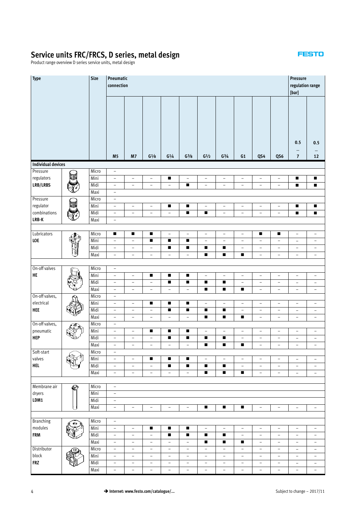Product range overview D series service units, metal design

| Type                      |   | <b>Size</b>   |                          | Pneumatic<br>connection  |                                          |                                      |                          |                          |                          |                          |                          |                          | Pressure<br>regulation range<br>[bar] |                          |
|---------------------------|---|---------------|--------------------------|--------------------------|------------------------------------------|--------------------------------------|--------------------------|--------------------------|--------------------------|--------------------------|--------------------------|--------------------------|---------------------------------------|--------------------------|
|                           |   |               |                          |                          |                                          |                                      |                          |                          |                          |                          |                          |                          |                                       |                          |
|                           |   |               | M <sub>5</sub>           | M <sub>7</sub>           | $\mathsf{G}\,\mathrm{^{1\!}/\mathrm{s}}$ | $\mathsf{G}\,\mathrm{^{1\!}/_{\!4}}$ | $\mathsf{G}^3\!/\!s$     | $G\frac{1}{2}$           | $G\frac{3}{4}$           | G1                       | QS4                      | QS6                      | 0.5<br><br>$\overline{\mathbf{z}}$    | 0.5<br><br>12            |
| <b>Individual devices</b> |   |               |                          |                          |                                          |                                      |                          |                          |                          |                          |                          |                          |                                       |                          |
| Pressure                  |   | Micro         | $\overline{\phantom{a}}$ |                          |                                          |                                      |                          |                          |                          |                          |                          |                          |                                       |                          |
| regulators                |   | Mini          | $\overline{\phantom{m}}$ | $\qquad \qquad -$        | $\overline{\phantom{a}}$                 | п                                    | $\qquad \qquad -$        | $\overline{\phantom{a}}$ | $\qquad \qquad -$        | $\overline{\phantom{a}}$ | $\overline{a}$           | $\qquad \qquad -$        | п                                     | п                        |
| LRB/LRBS                  |   | Midi          | $\qquad \qquad -$        | $\overline{\phantom{a}}$ | $\overline{\phantom{a}}$                 | $\overline{a}$                       | п                        | $\overline{\phantom{a}}$ | $\qquad \qquad -$        | $\overline{\phantom{a}}$ | $\qquad \qquad -$        | $\qquad \qquad -$        | п                                     | п                        |
|                           |   | Maxi          | $\overline{\phantom{a}}$ |                          |                                          |                                      |                          |                          |                          |                          |                          |                          |                                       |                          |
| Pressure                  |   | Micro         | $\overline{\phantom{a}}$ |                          |                                          |                                      |                          |                          |                          |                          |                          |                          |                                       |                          |
| regulator                 |   | Mini          | $\bar{\phantom{a}}$      | -                        | $\overline{\phantom{a}}$                 | п                                    | п                        | $\overline{\phantom{a}}$ | $\qquad \qquad -$        | $\overline{\phantom{a}}$ | $\overline{\phantom{a}}$ | $\overline{\phantom{a}}$ | ■                                     | п                        |
| combinations              |   | Midi          | $\qquad \qquad -$        | $\overline{\phantom{a}}$ | $\overline{\phantom{a}}$                 | $\overline{\phantom{0}}$             | $\blacksquare$           | ٠                        | $\overline{\phantom{0}}$ | $\overline{\phantom{a}}$ | $\overline{\phantom{0}}$ | $\overline{\phantom{a}}$ | ■                                     | п                        |
| LRB-K                     |   | Maxi          | $\qquad \qquad -$        |                          |                                          |                                      |                          |                          |                          |                          |                          |                          |                                       |                          |
|                           |   |               |                          |                          |                                          |                                      |                          |                          |                          |                          |                          |                          |                                       |                          |
| Lubricators               |   | Micro         | П                        | п                        | П                                        | $\overline{\phantom{a}}$             | $\overline{\phantom{0}}$ | $\overline{\phantom{a}}$ | $\qquad \qquad -$        | $\overline{\phantom{a}}$ | $\blacksquare$           | п                        | $\qquad \qquad -$                     | $\overline{\phantom{a}}$ |
| LOE                       |   | Mini          | $\bar{\phantom{a}}$      | $\overline{\phantom{0}}$ | $\blacksquare$                           | $\blacksquare$                       | $\blacksquare$           | $\overline{\phantom{a}}$ | $\bar{a}$                | $\overline{\phantom{a}}$ | $\qquad \qquad -$        | $\overline{\phantom{a}}$ | $\overline{a}$                        | $\overline{\phantom{a}}$ |
|                           |   | Midi          | $\bar{\phantom{a}}$      | $\overline{\phantom{a}}$ | $\qquad \qquad -$                        | п                                    | П                        | ٠                        | п                        | $\overline{\phantom{a}}$ | $\overline{\phantom{a}}$ | $\overline{\phantom{a}}$ | $\overline{a}$                        | $\overline{\phantom{a}}$ |
|                           |   | Maxi          | $\qquad \qquad -$        | $\overline{\phantom{a}}$ | $\overline{\phantom{a}}$                 | $\overline{\phantom{a}}$             | $\overline{\phantom{a}}$ | $\blacksquare$           | $\blacksquare$           | $\blacksquare$           | $\qquad \qquad -$        | $\overline{\phantom{a}}$ | $\qquad \qquad -$                     | $\overline{\phantom{a}}$ |
|                           |   |               |                          |                          |                                          |                                      |                          |                          |                          |                          |                          |                          |                                       |                          |
| On-off valves             |   | Micro         | $\overline{\phantom{a}}$ |                          |                                          |                                      |                          |                          |                          |                          |                          |                          |                                       |                          |
| HE                        |   | Mini          | $\qquad \qquad -$        | $\overline{\phantom{0}}$ | п                                        | п                                    | П                        | $\overline{\phantom{a}}$ | $\bar{ }$                | $\qquad \qquad -$        | $\overline{\phantom{0}}$ | $\overline{\phantom{m}}$ | $\overline{a}$                        | $\overline{\phantom{a}}$ |
|                           |   | Midi          | $\overline{\phantom{a}}$ | $\overline{\phantom{a}}$ | $\overline{\phantom{a}}$                 | $\blacksquare$                       | Ξ                        | $\blacksquare$           | $\blacksquare$           | $\qquad \qquad -$        | $\overline{\phantom{a}}$ | $\overline{\phantom{a}}$ | $\overline{\phantom{0}}$              | $\overline{\phantom{a}}$ |
|                           |   | Maxi          | $\overline{\phantom{a}}$ | $\overline{\phantom{a}}$ | $\overline{\phantom{a}}$                 | $\overline{\phantom{a}}$             | $\overline{\phantom{a}}$ | ٠                        | п                        | п                        | $\overline{\phantom{a}}$ | $\overline{\phantom{a}}$ | $\qquad \qquad -$                     | $\overline{\phantom{a}}$ |
| On-off valves,            |   | Micro         | $\overline{\phantom{a}}$ |                          |                                          |                                      |                          |                          |                          |                          |                          |                          |                                       |                          |
| electrical                |   | Mini          | $\overline{\phantom{a}}$ | $\overline{\phantom{a}}$ | п                                        | п                                    | п                        | $\overline{\phantom{a}}$ | $\qquad \qquad -$        | $\qquad \qquad -$        | -                        | $\overline{\phantom{a}}$ | -                                     | $\overline{\phantom{a}}$ |
| <b>HEE</b>                |   | Midi          | $\overline{\phantom{a}}$ | $\qquad \qquad -$        | $\overline{\phantom{a}}$                 | $\blacksquare$                       | $\blacksquare$           | п                        | $\blacksquare$           | $\overline{\phantom{a}}$ | $\qquad \qquad -$        | $\overline{\phantom{a}}$ | $\overline{a}$                        | $\overline{\phantom{a}}$ |
|                           |   | Maxi          | $\qquad \qquad -$        | $\overline{\phantom{a}}$ | $\overline{\phantom{a}}$                 | $\overline{\phantom{a}}$             | $\overline{\phantom{a}}$ | $\blacksquare$           | $\blacksquare$           | $\blacksquare$           | $\overline{\phantom{a}}$ | $\overline{\phantom{a}}$ | $\overline{\phantom{a}}$              | $\overline{\phantom{a}}$ |
| On-off valves,            |   | Micro         | $\overline{\phantom{a}}$ |                          |                                          |                                      |                          |                          |                          |                          |                          |                          |                                       |                          |
| pneumatic                 |   | Mini          | $\overline{\phantom{a}}$ | $\overline{\phantom{a}}$ | п                                        | п                                    | п                        | $\overline{\phantom{a}}$ | $\overline{\phantom{0}}$ | $\overline{\phantom{a}}$ | $\overline{\phantom{a}}$ | $\overline{\phantom{a}}$ | $\qquad \qquad -$                     | $\overline{\phantom{a}}$ |
| <b>HEP</b>                |   | Midi          | $\overline{\phantom{a}}$ | $\overline{\phantom{a}}$ | $\overline{\phantom{a}}$                 | $\blacksquare$                       | $\blacksquare$           | ٠                        | п                        | $\overline{\phantom{a}}$ | $\qquad \qquad -$        | $\overline{\phantom{a}}$ | $\overline{\phantom{0}}$              | $\overline{\phantom{a}}$ |
|                           |   | Maxi          | $\overline{\phantom{a}}$ | $\overline{\phantom{a}}$ | $\qquad \qquad -$                        | $\overline{\phantom{a}}$             | $\overline{\phantom{a}}$ | ш                        | Ξ                        | ш                        | $\overline{\phantom{a}}$ | $\overline{\phantom{a}}$ | $\overline{\phantom{a}}$              | $\overline{\phantom{a}}$ |
| Soft-start                |   | Micro         | $\qquad \qquad -$        |                          |                                          |                                      |                          |                          |                          |                          |                          |                          |                                       |                          |
| valves                    |   | Mini          | $\overline{\phantom{a}}$ | $\overline{\phantom{a}}$ | п                                        | п                                    | Г                        | $\overline{\phantom{a}}$ | $\overline{\phantom{m}}$ | $\overline{\phantom{a}}$ | $\overline{\phantom{0}}$ | $\overline{\phantom{a}}$ | $\qquad \qquad -$                     | $\overline{\phantom{a}}$ |
| <b>HEL</b>                |   | Midi          | $\overline{\phantom{a}}$ | $\overline{\phantom{a}}$ | $\overline{\phantom{a}}$                 | п                                    | П                        | ٠                        | п                        | $\overline{\phantom{a}}$ | $\overline{\phantom{a}}$ | $\overline{\phantom{a}}$ | $\overline{\phantom{0}}$              | $\overline{\phantom{a}}$ |
|                           |   | Maxi          | $\overline{\phantom{a}}$ | -                        | $\overline{\phantom{a}}$                 | $\overline{\phantom{a}}$             | $\overline{\phantom{a}}$ | ٠                        | п                        | п                        | $\qquad \qquad -$        | $\overline{\phantom{a}}$ | $\qquad \qquad -$                     | $\overline{\phantom{a}}$ |
|                           |   |               |                          |                          |                                          |                                      |                          |                          |                          |                          |                          |                          |                                       |                          |
| Membrane air              | € | Micro         | $\overline{\phantom{a}}$ |                          |                                          |                                      |                          |                          |                          |                          |                          |                          |                                       |                          |
| dryers                    |   | Mini          | $\bar{\phantom{a}}$      |                          |                                          |                                      |                          |                          |                          |                          |                          |                          |                                       |                          |
| LDM1                      |   | Midi          | $\overline{\phantom{a}}$ |                          |                                          |                                      |                          |                          |                          |                          |                          |                          |                                       |                          |
|                           |   | Maxi          | $\bar{\phantom{a}}$      | $\overline{\phantom{a}}$ | $\overline{\phantom{a}}$                 | $\overline{\phantom{a}}$             | $\overline{\phantom{a}}$ | $\blacksquare$           | $\blacksquare$           | $\blacksquare$           | $\overline{\phantom{a}}$ | $\overline{\phantom{a}}$ | $\overline{\phantom{a}}$              | $\overline{\phantom{a}}$ |
| <b>Branching</b>          |   |               |                          |                          |                                          |                                      |                          |                          |                          |                          |                          |                          |                                       |                          |
| modules                   |   | Micro<br>Mini | $\overline{\phantom{a}}$ |                          | п                                        | п                                    |                          |                          |                          |                          |                          |                          |                                       |                          |
| <b>FRM</b>                |   | Midi          | $\overline{\phantom{m}}$ | $\qquad \qquad -$        |                                          |                                      | п                        | $\overline{\phantom{a}}$ | $\overline{\phantom{0}}$ | $\overline{\phantom{a}}$ | $\qquad \qquad -$        | $\overline{\phantom{a}}$ | $\overline{\phantom{a}}$              | $\overline{\phantom{a}}$ |
|                           |   |               | $\overline{\phantom{a}}$ | $\qquad \qquad -$        | $\overline{\phantom{a}}$                 | п                                    | п                        | п                        | п                        | $\overline{\phantom{a}}$ | $\overline{\phantom{a}}$ | $\overline{\phantom{a}}$ | $\qquad \qquad -$                     | $\overline{\phantom{a}}$ |
|                           |   | Maxi          | $\overline{\phantom{a}}$ | $\overline{\phantom{a}}$ | $\overline{\phantom{a}}$                 | $\overline{\phantom{a}}$             | $\overline{\phantom{a}}$ | ٠                        | п                        | п                        | $\overline{\phantom{a}}$ | $\overline{\phantom{a}}$ | $\overline{a}$                        | $\overline{\phantom{a}}$ |
| Distributor               |   | Micro         | $\overline{\phantom{a}}$ | $\overline{\phantom{a}}$ | $\overline{\phantom{a}}$                 | $\overline{\phantom{a}}$             | $\overline{\phantom{a}}$ | $\overline{\phantom{a}}$ | $\qquad \qquad -$        | $\qquad \qquad -$        | $\qquad \qquad -$        | $\overline{\phantom{a}}$ | $\overline{a}$                        | $\overline{\phantom{a}}$ |
| block<br>${\sf FRZ}$      |   | Mini<br>Midi  | $\overline{\phantom{a}}$ | $\overline{\phantom{m}}$ | $\overline{\phantom{m}}$                 | $\qquad \qquad -$                    | $\overline{\phantom{a}}$ | $\overline{\phantom{m}}$ | -                        | $\overline{\phantom{a}}$ | $\qquad \qquad -$        | $\overline{\phantom{m}}$ | -                                     | $\overline{\phantom{m}}$ |
|                           |   | Maxi          | $\overline{\phantom{a}}$ | $\overline{\phantom{a}}$ | $\overline{\phantom{a}}$                 | $\overline{\phantom{a}}$             | $\overline{\phantom{a}}$ | $\overline{\phantom{a}}$ | $\overline{\phantom{a}}$ | $\overline{\phantom{a}}$ | $\overline{\phantom{a}}$ | $\overline{\phantom{a}}$ | $\qquad \qquad -$                     | $\overline{\phantom{a}}$ |
|                           |   |               | $\qquad \qquad -$        | $\overline{\phantom{a}}$ | $\qquad \qquad -$                        | $\overline{\phantom{a}}$             | $\overline{\phantom{a}}$ | $\overline{\phantom{a}}$ | $\qquad \qquad -$        | $\overline{\phantom{a}}$ | $\qquad \qquad -$        | $\overline{\phantom{a}}$ | $\overline{\phantom{0}}$              | $\overline{\phantom{a}}$ |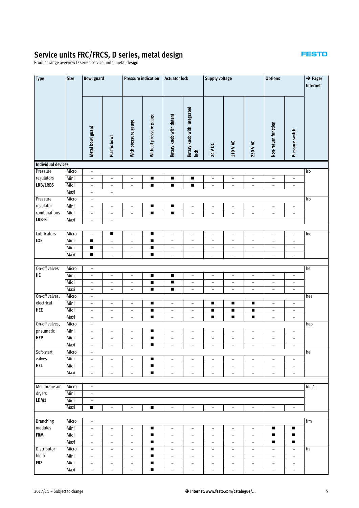Product range overview D series service units, metal design

| <b>Type</b>               | <b>Size</b><br><b>Bowl guard</b> |                          |                          | <b>Pressure indication</b> |                        | <b>Actuator lock</b>     |                                     | <b>Supply voltage</b>    |                          |                          |                          | $\rightarrow$ Page/<br>Internet |                          |
|---------------------------|----------------------------------|--------------------------|--------------------------|----------------------------|------------------------|--------------------------|-------------------------------------|--------------------------|--------------------------|--------------------------|--------------------------|---------------------------------|--------------------------|
|                           |                                  | Metal bowl guard         | Plastic bowl             | With pressure gauge        | Without pressure gauge | Rotary knob with detent  | Rotary knob with integrated<br>lock | <b>24 V DC</b>           | 110 V AC                 | 230 V AC                 | Non-return function      | Pressure switch                 |                          |
| <b>Individual devices</b> |                                  |                          |                          |                            |                        |                          |                                     |                          |                          |                          |                          |                                 |                          |
| Pressure                  | Micro                            | $\qquad \qquad -$        |                          |                            |                        |                          |                                     |                          |                          |                          |                          |                                 | <b>lrb</b>               |
| regulators                | Mini                             | $\overline{\phantom{a}}$ | $\overline{a}$           | $\overline{\phantom{a}}$   | п                      | п                        | ■                                   | $\qquad \qquad -$        | $\qquad \qquad -$        | $\overline{\phantom{0}}$ | $\qquad \qquad -$        | $\qquad \qquad -$               |                          |
| LRB/LRBS                  | Midi                             | $\overline{\phantom{a}}$ | $\overline{a}$           | $\overline{\phantom{a}}$   | п                      | ■                        | ■                                   | $\qquad \qquad -$        | $\qquad \qquad -$        | $\overline{\phantom{0}}$ | $\overline{\phantom{0}}$ | $\overline{\phantom{0}}$        |                          |
|                           | Maxi                             | $\overline{\phantom{a}}$ | $\overline{\phantom{0}}$ |                            |                        |                          |                                     |                          |                          |                          |                          |                                 |                          |
| Pressure                  | Micro                            | $\overline{\phantom{a}}$ |                          |                            |                        |                          |                                     |                          |                          |                          |                          |                                 | <b>Irb</b>               |
| regulator                 | Mini                             | $\overline{\phantom{a}}$ | $\qquad \qquad -$        | $\overline{\phantom{a}}$   | п                      | П                        | $\overline{\phantom{0}}$            | $\qquad \qquad -$        | $\overline{\phantom{a}}$ | $\overline{\phantom{0}}$ | $\qquad \qquad -$        | $\qquad \qquad -$               |                          |
| combinations              | Midi                             | $\overline{\phantom{0}}$ | $\qquad \qquad -$        | $\overline{\phantom{a}}$   | п                      | ■                        | $\overline{\phantom{a}}$            | $\qquad \qquad -$        | $\overline{\phantom{a}}$ | $\overline{\phantom{0}}$ | $\overline{\phantom{a}}$ | $\overline{\phantom{a}}$        |                          |
| LRB-K                     | Maxi                             | $\overline{\phantom{a}}$ | $\overline{\phantom{0}}$ |                            |                        |                          |                                     |                          |                          |                          |                          |                                 |                          |
|                           |                                  |                          |                          |                            |                        |                          |                                     |                          |                          |                          |                          |                                 |                          |
| Lubricators               | Micro                            | $\bar{ }$                | $\blacksquare$           | $\overline{\phantom{a}}$   | п                      | $\bar{ }$                | $\bar{ }$                           | $\overline{\phantom{a}}$ | $\overline{\phantom{a}}$ | $\overline{a}$           | $\overline{\phantom{0}}$ | $\overline{\phantom{a}}$        | loe                      |
| LOE                       | Mini                             | ٠                        | $\overline{\phantom{0}}$ | $\overline{\phantom{a}}$   | п                      | $\overline{\phantom{a}}$ | $\qquad \qquad -$                   | $\qquad \qquad -$        | $\overline{\phantom{a}}$ | -                        | $\qquad \qquad -$        | $\qquad \qquad -$               |                          |
|                           | Midi                             | п                        | $\qquad \qquad -$        | $\overline{\phantom{a}}$   | $\blacksquare$         | $\overline{\phantom{a}}$ | $\overline{\phantom{a}}$            | $\overline{\phantom{0}}$ | $\overline{\phantom{a}}$ | $\overline{\phantom{0}}$ | $\qquad \qquad -$        | $\overline{\phantom{a}}$        |                          |
|                           | Maxi                             | п                        | $\overline{\phantom{0}}$ | $\overline{\phantom{a}}$   | п                      | -                        | $\qquad \qquad -$                   | $\qquad \qquad -$        | $\overline{\phantom{a}}$ | $\overline{\phantom{0}}$ | $\overline{\phantom{a}}$ | $\overline{\phantom{a}}$        |                          |
|                           |                                  |                          |                          |                            |                        |                          |                                     |                          |                          |                          |                          |                                 |                          |
| On-off valves             | Micro                            | $\overline{\phantom{a}}$ |                          |                            |                        |                          |                                     |                          |                          |                          |                          |                                 | he                       |
| HE                        | Mini                             | $\overline{\phantom{a}}$ | $\overline{\phantom{0}}$ | $\overline{\phantom{a}}$   | п                      | п                        | $\overline{\phantom{0}}$            | $\qquad \qquad -$        | $\overline{\phantom{a}}$ | $\overline{\phantom{0}}$ | $\overline{\phantom{a}}$ | $\overline{\phantom{a}}$        |                          |
|                           | Midi                             | $\qquad \qquad -$        | $\qquad \qquad -$        | $\overline{\phantom{a}}$   |                        | ■                        | $\qquad \qquad -$                   | $\qquad \qquad -$        | $\overline{\phantom{m}}$ | $\qquad \qquad -$        | $\qquad \qquad -$        | $\qquad \qquad -$               |                          |
|                           | Maxi                             | $\overline{\phantom{a}}$ | $\qquad \qquad -$        | $\overline{\phantom{a}}$   | п                      | ■                        | $\qquad \qquad -$                   | $\overline{\phantom{a}}$ | $\overline{\phantom{a}}$ | $\overline{\phantom{0}}$ | $\qquad \qquad -$        | $\qquad \qquad -$               |                          |
| On-off valves,            | Micro                            | $\overline{\phantom{a}}$ |                          |                            |                        |                          |                                     |                          |                          |                          |                          |                                 | hee                      |
| electrical                | Mini                             | $\overline{\phantom{a}}$ | $\qquad \qquad -$        | $\overline{\phantom{a}}$   | п                      | $\overline{\phantom{a}}$ | $\overline{\phantom{a}}$            | п                        | п                        | п                        | $\overline{\phantom{a}}$ | $\overline{\phantom{a}}$        |                          |
| <b>HEE</b>                | Midi                             | $\overline{\phantom{a}}$ | $\overline{a}$           | $\overline{\phantom{a}}$   | п                      | $\qquad \qquad -$        | $\qquad \qquad -$                   | П                        | п                        | П                        | $\qquad \qquad -$        | $\qquad \qquad -$               |                          |
|                           | Maxi                             | $\overline{\phantom{a}}$ | $\overline{a}$           | $\overline{\phantom{a}}$   | п                      | $\equiv$                 | $\overline{\phantom{a}}$            | п                        | п                        | $\blacksquare$           | $\qquad \qquad -$        | $\overline{\phantom{0}}$        |                          |
| On-off valves,            | Micro                            | $\overline{\phantom{a}}$ |                          |                            |                        |                          |                                     |                          |                          |                          |                          |                                 | hep                      |
| pneumatic                 | Mini                             |                          |                          |                            |                        |                          |                                     |                          |                          |                          |                          |                                 |                          |
| <b>HEP</b>                | Midi                             | $\overline{\phantom{a}}$ | $\qquad \qquad -$        | $\overline{\phantom{a}}$   | п<br>п                 | $\qquad \qquad -$        | $\qquad \qquad -$                   | $\overline{\phantom{a}}$ | $\overline{\phantom{a}}$ | $\qquad \qquad -$        | $\qquad \qquad -$        | $\overline{\phantom{0}}$        |                          |
|                           |                                  | $\overline{\phantom{a}}$ | $\qquad \qquad -$        | $\overline{\phantom{a}}$   |                        | $\overline{\phantom{a}}$ | $\qquad \qquad -$                   | $\overline{\phantom{0}}$ | $\overline{\phantom{a}}$ | $\overline{\phantom{0}}$ | $\overline{\phantom{a}}$ | $\overline{\phantom{a}}$        |                          |
|                           | Maxi                             | $\overline{\phantom{a}}$ | $\overline{\phantom{a}}$ | $\overline{\phantom{a}}$   | п                      | $\qquad \qquad -$        | $\overline{\phantom{a}}$            | $\overline{\phantom{a}}$ | $\overline{\phantom{a}}$ | $\qquad \qquad -$        | $\overline{\phantom{a}}$ | $\overline{\phantom{a}}$        |                          |
| Soft-start<br>valves      | Micro<br>Mini                    | $\qquad \qquad -$        |                          |                            |                        |                          |                                     |                          |                          |                          |                          |                                 | hel                      |
| <b>HEL</b>                | Midi                             | $\overline{\phantom{a}}$ | $\overline{\phantom{a}}$ | $\overline{\phantom{a}}$   | п                      | $\overline{\phantom{a}}$ | $\overline{\phantom{a}}$            | $\overline{\phantom{a}}$ | $\overline{\phantom{a}}$ | $\qquad \qquad -$        | $\overline{\phantom{a}}$ | $\qquad \qquad -$               |                          |
|                           |                                  | $\overline{\phantom{a}}$ | $\qquad \qquad -$        | $\overline{\phantom{a}}$   | п<br>п                 | $\qquad \qquad -$        | $\overline{\phantom{a}}$            | $\qquad \qquad -$        | $\overline{\phantom{a}}$ | $\overline{\phantom{0}}$ | $\qquad \qquad -$        | $\overline{\phantom{a}}$        |                          |
|                           | Maxi                             | $\overline{\phantom{a}}$ | $\overline{\phantom{a}}$ | $\overline{\phantom{a}}$   |                        | $\overline{\phantom{a}}$ | $\overline{\phantom{a}}$            | $\overline{\phantom{a}}$ | $\overline{\phantom{a}}$ | $\qquad \qquad -$        | $\overline{\phantom{a}}$ | $\overline{\phantom{a}}$        |                          |
| Membrane air              | Micro                            |                          |                          |                            |                        |                          |                                     |                          |                          |                          |                          |                                 | ldm1                     |
|                           |                                  | $\overline{\phantom{a}}$ |                          |                            |                        |                          |                                     |                          |                          |                          |                          |                                 |                          |
| dryers<br>LDM1            | Mini                             | $\frac{1}{2}$            |                          |                            |                        |                          |                                     |                          |                          |                          |                          |                                 |                          |
|                           | Midi                             | $\overline{\phantom{a}}$ |                          |                            |                        |                          |                                     |                          |                          |                          |                          |                                 |                          |
|                           | Maxi                             | ٠                        | $\qquad \qquad -$        | $\overline{\phantom{a}}$   | п                      | $\overline{\phantom{a}}$ | $\overline{\phantom{a}}$            | $\overline{\phantom{a}}$ | $\overline{\phantom{a}}$ | $\qquad \qquad -$        | $\qquad \qquad -$        | $\overline{\phantom{a}}$        |                          |
|                           |                                  |                          |                          |                            |                        |                          |                                     |                          |                          |                          |                          |                                 |                          |
| <b>Branching</b>          | Micro                            | $\qquad \qquad -$        |                          |                            |                        |                          |                                     |                          |                          |                          |                          |                                 | $f$ rm                   |
| modules                   | Mini                             | $\overline{\phantom{a}}$ | $\qquad \qquad -$        | $\overline{\phantom{a}}$   | п                      | $\qquad \qquad -$        | $\qquad \qquad -$                   | $\qquad \qquad -$        | $\overline{\phantom{a}}$ | $\overline{\phantom{0}}$ | п                        | п                               |                          |
| <b>FRM</b>                | Midi                             | $\qquad \qquad -$        | $\qquad \qquad -$        | $\overline{\phantom{a}}$   | п                      | $\overline{\phantom{a}}$ | -                                   | $\qquad \qquad -$        | $\overline{\phantom{a}}$ | $\qquad \qquad -$        | п                        | п                               |                          |
|                           | Maxi                             | $\overline{\phantom{a}}$ | $\qquad \qquad -$        | $\overline{\phantom{a}}$   | п                      | $\overline{\phantom{a}}$ | $\overline{\phantom{a}}$            | $\qquad \qquad -$        | $\overline{\phantom{a}}$ | $\qquad \qquad -$        | п                        | ٠                               |                          |
| Distributor               | Micro                            | $\qquad \qquad -$        | $\qquad \qquad -$        | $\overline{\phantom{a}}$   | п                      | $\overline{\phantom{a}}$ | $\qquad \qquad -$                   | $\qquad \qquad -$        | $\overline{\phantom{a}}$ | $\overline{\phantom{a}}$ | $\overline{\phantom{a}}$ | $\overline{\phantom{0}}$        | $\operatorname{\sf frz}$ |
| block                     | Mini                             | $\qquad \qquad -$        | $\qquad \qquad -$        | $\overline{\phantom{a}}$   | п                      | $\qquad \qquad -$        | -                                   | $\overline{\phantom{a}}$ | $\overline{\phantom{a}}$ | $\overline{\phantom{0}}$ | $\overline{\phantom{a}}$ | $\overline{\phantom{a}}$        |                          |
| ${\sf FRZ}$               | Midi                             | $\overline{\phantom{0}}$ | $\qquad \qquad -$        | $\overline{\phantom{a}}$   | п                      | $\overline{\phantom{a}}$ | $\overline{\phantom{a}}$            | $\overline{\phantom{a}}$ | $\overline{\phantom{a}}$ | $\overline{\phantom{0}}$ | $\overline{\phantom{a}}$ | $\overline{\phantom{a}}$        |                          |
|                           | Maxi                             | $\qquad \qquad -$        | $\overline{\phantom{0}}$ | $\overline{\phantom{a}}$   | п                      | $\bar{\phantom{a}}$      | $\qquad \qquad -$                   | $\qquad \qquad -$        | $\overline{\phantom{a}}$ | $\qquad \qquad -$        | $\qquad \qquad -$        | $\overline{\phantom{a}}$        |                          |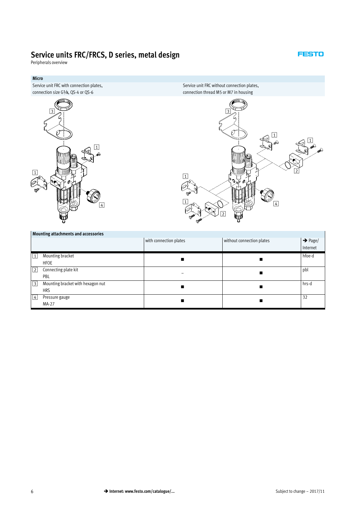**FESTO** 

<span id="page-5-0"></span>Peripherals overview



|                     | Mounting attachments and accessories |                        |                           |                     |
|---------------------|--------------------------------------|------------------------|---------------------------|---------------------|
|                     |                                      | with connection plates | without connection plates | $\rightarrow$ Page/ |
|                     |                                      |                        |                           | Internet            |
| $\boxed{1}$         | Mounting bracket                     |                        |                           | hfoe-d              |
|                     | <b>HFOE</b>                          |                        |                           |                     |
| $\lfloor 2 \rfloor$ | Connecting plate kit                 |                        |                           | pbl                 |
|                     | PBL                                  |                        |                           |                     |
| 3                   | Mounting bracket with hexagon nut    |                        |                           | hrs-d               |
|                     | <b>HRS</b>                           |                        |                           |                     |
| 4                   | Pressure gauge                       |                        |                           | 32                  |
|                     | MA-27                                |                        |                           |                     |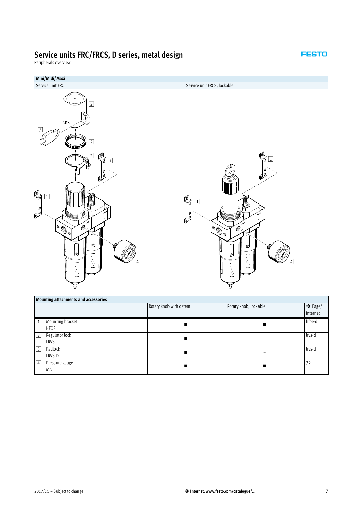#### **FESTO**

Peripherals overview



-

4 Pressure gauge MA

-

 $\blacksquare$ 

[32](#page-31-0)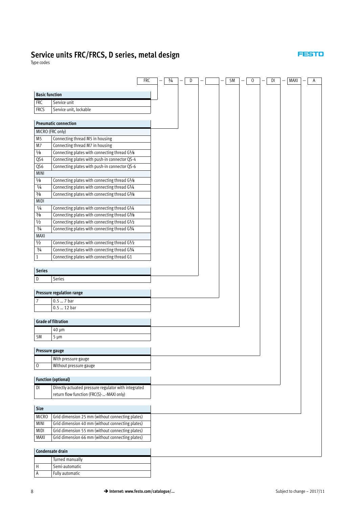#### **FESTO**

Type codes

|                       |                                                                                                | <b>FRC</b> | $\frac{3}{4}$ | D | 5M | 0 | DI | <b>MAXI</b> | Α |  |
|-----------------------|------------------------------------------------------------------------------------------------|------------|---------------|---|----|---|----|-------------|---|--|
| <b>Basic function</b> |                                                                                                |            |               |   |    |   |    |             |   |  |
| <b>FRC</b>            | Service unit                                                                                   |            |               |   |    |   |    |             |   |  |
| <b>FRCS</b>           | Service unit, lockable                                                                         |            |               |   |    |   |    |             |   |  |
|                       |                                                                                                |            |               |   |    |   |    |             |   |  |
|                       | <b>Pneumatic connection</b>                                                                    |            |               |   |    |   |    |             |   |  |
|                       | MICRO (FRC only)                                                                               |            |               |   |    |   |    |             |   |  |
| M <sub>5</sub>        | Connecting thread M5 in housing                                                                |            |               |   |    |   |    |             |   |  |
| M <sub>7</sub>        | Connecting thread M7 in housing                                                                |            |               |   |    |   |    |             |   |  |
| $\frac{1}{8}$         | Connecting plates with connecting thread G1/8                                                  |            |               |   |    |   |    |             |   |  |
| QS4                   | Connecting plates with push-in connector QS-4                                                  |            |               |   |    |   |    |             |   |  |
| QS6                   | Connecting plates with push-in connector QS-6                                                  |            |               |   |    |   |    |             |   |  |
| MINI                  |                                                                                                |            |               |   |    |   |    |             |   |  |
| $1/8$                 | Connecting plates with connecting thread G1/8                                                  |            |               |   |    |   |    |             |   |  |
| 1/4                   | Connecting plates with connecting thread G1/4                                                  |            |               |   |    |   |    |             |   |  |
| $\frac{3}{8}$         | Connecting plates with connecting thread G3/8                                                  |            |               |   |    |   |    |             |   |  |
| <b>MIDI</b>           |                                                                                                |            |               |   |    |   |    |             |   |  |
| 1/4<br>$\frac{3}{8}$  | Connecting plates with connecting thread G1/4<br>Connecting plates with connecting thread G3/8 |            |               |   |    |   |    |             |   |  |
| $\frac{1}{2}$         | Connecting plates with connecting thread G1/2                                                  |            |               |   |    |   |    |             |   |  |
| $\frac{3}{4}$         | Connecting plates with connecting thread G3/4                                                  |            |               |   |    |   |    |             |   |  |
| MAXI                  |                                                                                                |            |               |   |    |   |    |             |   |  |
| $1/2$                 | Connecting plates with connecting thread G1/2                                                  |            |               |   |    |   |    |             |   |  |
| $\frac{3}{4}$         | Connecting plates with connecting thread G3/4                                                  |            |               |   |    |   |    |             |   |  |
| $\mathbf{1}$          | Connecting plates with connecting thread G1                                                    |            |               |   |    |   |    |             |   |  |
|                       |                                                                                                |            |               |   |    |   |    |             |   |  |
| <b>Series</b>         |                                                                                                |            |               |   |    |   |    |             |   |  |
| D                     | Series                                                                                         |            |               |   |    |   |    |             |   |  |
|                       |                                                                                                |            |               |   |    |   |    |             |   |  |
|                       | Pressure regulation range                                                                      |            |               |   |    |   |    |             |   |  |
| 7                     | 0.5  7 bar                                                                                     |            |               |   |    |   |    |             |   |  |
|                       | 0.5  12 bar                                                                                    |            |               |   |    |   |    |             |   |  |
|                       | <b>Grade of filtration</b>                                                                     |            |               |   |    |   |    |             |   |  |
|                       | 40 µm                                                                                          |            |               |   |    |   |    |             |   |  |
| 5M                    | $5 \mu m$                                                                                      |            |               |   |    |   |    |             |   |  |
|                       |                                                                                                |            |               |   |    |   |    |             |   |  |
|                       | Pressure gauge                                                                                 |            |               |   |    |   |    |             |   |  |
|                       | With pressure gauge                                                                            |            |               |   |    |   |    |             |   |  |
| 0                     | Without pressure gauge                                                                         |            |               |   |    |   |    |             |   |  |
|                       | <b>Function (optional)</b>                                                                     |            |               |   |    |   |    |             |   |  |
|                       |                                                                                                |            |               |   |    |   |    |             |   |  |
| DI                    | Directly actuated pressure regulator with integrated                                           |            |               |   |    |   |    |             |   |  |
|                       | return flow function (FRC(S)--MAXI only)                                                       |            |               |   |    |   |    |             |   |  |
| <b>Size</b>           |                                                                                                |            |               |   |    |   |    |             |   |  |
| <b>MICRO</b>          | Grid dimension 25 mm (without connecting plates)                                               |            |               |   |    |   |    |             |   |  |
| MINI                  | Grid dimension 40 mm (without connecting plates)                                               |            |               |   |    |   |    |             |   |  |
| MIDI                  | Grid dimension 55 mm (without connecting plates)                                               |            |               |   |    |   |    |             |   |  |
|                       |                                                                                                |            |               |   |    |   |    |             |   |  |
|                       |                                                                                                |            |               |   |    |   |    |             |   |  |
| MAXI                  | Grid dimension 66 mm (without connecting plates)                                               |            |               |   |    |   |    |             |   |  |
|                       | Condensate drain                                                                               |            |               |   |    |   |    |             |   |  |
|                       | Turned manually                                                                                |            |               |   |    |   |    |             |   |  |
| Н                     | Semi-automatic                                                                                 |            |               |   |    |   |    |             |   |  |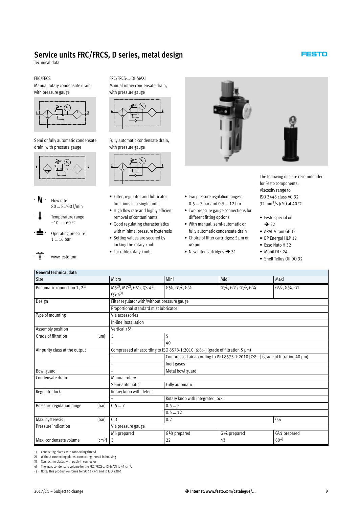Technical data

FRC/FRCS Manual rotary condensate drain, with pressure gauge



Semi or fully automatic condensate drain, with pressure gauge



Flow rate 80 … 8,700 l/min

Temperature range  $-10 - +60$  °C

Operating pressure 1 … 16 bar

 $-\sqrt{\frac{2}{\pi}}$  www.festo.com

FRC/FRCS-…-DI-MAXI Manual rotary condensate drain, with pressure gauge



Fully automatic condensate drain, with pressure gauge



- Filter, regulator and lubricator functions in a single unit
- High flow rate and highly efficient removal of contaminants
- Good regulating characteristics with minimal pressure hysteresis
- Setting values are secured by locking the rotary knob
	- Lockable rotary knob



- Two pressure regulation ranges: 0.5 … 7 bar and 0.5 … 12 bar - Two pressure gauge connections for different fitting options - With manual, semi-automatic or fully automatic condensate drain • Choice of filter cartridges: 5 μm or

• New filter cartridges > [31](#page-30-0)

40 μm

The following oils are recommended for Festo components: Viscosity range to ISO 3448 class VG 32 32 mm<sup>2</sup>/s (cSt) at 40 °C

- Festo special oil  $\rightarrow$  [32](#page-31-0)
- ARAL Vitam GF 32
- BP Energol HLP 32
- Esso Nuto H 32
- Mobil DTE 24
- Shell Tellus Oil DO 32

## **General technical data**

| uelleidi lecillical udla       |             |                                                                            |                                                                                |                                                                                 |                                        |
|--------------------------------|-------------|----------------------------------------------------------------------------|--------------------------------------------------------------------------------|---------------------------------------------------------------------------------|----------------------------------------|
| Size                           |             | Micro                                                                      | Mini                                                                           | Midi                                                                            | Maxi                                   |
| Pneumatic connection $1, 21$   |             | M5 <sup>2</sup> , M7 <sup>2</sup> , G <sup>1</sup> /8, QS-4 <sup>3</sup> , | $G\frac{1}{8}$ , $G\frac{1}{4}$ , $G\frac{3}{8}$                               | $G\frac{1}{4}$ , $G\frac{3}{8}$ , $G\frac{1}{2}$ , $G\frac{3}{4}$               | $G\frac{1}{2}$ , $G\frac{3}{4}$ , $G1$ |
|                                |             | $QS-63$                                                                    |                                                                                |                                                                                 |                                        |
| Design                         |             | Filter regulator with/without pressure gauge                               |                                                                                |                                                                                 |                                        |
|                                |             | Proportional standard mist lubricator                                      |                                                                                |                                                                                 |                                        |
| Type of mounting               |             | Via accessories                                                            |                                                                                |                                                                                 |                                        |
|                                |             | In-line installation                                                       |                                                                                |                                                                                 |                                        |
| Assembly position              |             | Vertical ±5°                                                               |                                                                                |                                                                                 |                                        |
| Grade of filtration            | [µm]        | 5                                                                          | 5                                                                              |                                                                                 |                                        |
|                                |             | $\overline{\phantom{0}}$                                                   | 40                                                                             |                                                                                 |                                        |
| Air purity class at the output |             |                                                                            | Compressed air according to ISO 8573-1:2010 [6:8:-] (grade of filtration 5 µm) |                                                                                 |                                        |
|                                |             | -                                                                          |                                                                                | Compressed air according to ISO 8573-1:2010 [7:8:-] (grade of filtration 40 µm) |                                        |
|                                |             |                                                                            | Inert gases                                                                    |                                                                                 |                                        |
| Bowl guard                     |             | -                                                                          | Metal bowl guard                                                               |                                                                                 |                                        |
| Condensate drain               |             | Manual rotary                                                              |                                                                                |                                                                                 |                                        |
|                                |             | Semi-automatic                                                             | Fully automatic                                                                |                                                                                 |                                        |
| Regulator lock                 |             | Rotary knob with detent                                                    |                                                                                |                                                                                 |                                        |
|                                |             | ÷,                                                                         | Rotary knob with integrated lock                                               |                                                                                 |                                        |
| Pressure regulation range      | [bar]       | 0.57                                                                       | 0.57                                                                           |                                                                                 |                                        |
|                                |             |                                                                            | $0.5 - 12$                                                                     |                                                                                 |                                        |
| Max. hysteresis                | [bar]       | 0.3                                                                        | 0.2                                                                            |                                                                                 | 0.4                                    |
| Pressure indication            |             | Via pressure gauge                                                         |                                                                                |                                                                                 |                                        |
|                                |             | M5 prepared                                                                | G <sup>1</sup> / <sub>8</sub> prepared                                         | G <sub>1</sub> /4 prepared                                                      | G1/4 prepared                          |
| Max. condensate volume         | $\rm[cm^3]$ | 3                                                                          | 22                                                                             | 43                                                                              | $80^{4}$                               |

1) Connecting plates with connecting thread

2) Without connecting plates, connecting thread in housing

3) Connecting plates with push-in connector

 $\frac{2}{4}$  The max. condensate volume for the FRC/FRCS-...-DI-MAXI is 43 cm<sup>3</sup>.

-H- Note: This product conforms to ISO 1179-1 and to ISO 228-1

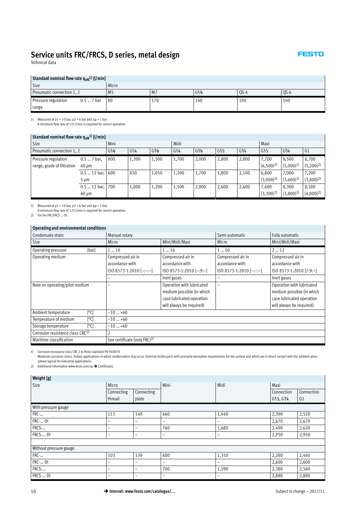Technical data

#### **FESTO**

| Standard nominal flow rate q <sub>nN</sub> <sup>1)</sup> [l/min] |            |                |     |           |        |        |
|------------------------------------------------------------------|------------|----------------|-----|-----------|--------|--------|
| Size                                                             |            | Micro          |     |           |        |        |
| Pneumatic connection 1, 2                                        |            | M <sub>5</sub> | M7  | $G^{1/8}$ | $QS-4$ | $OS-6$ |
| Pressure regulation                                              | $0.57$ bar | -80            | 170 | 160       | 100    | 160    |
| range                                                            |            |                |     |           |        |        |

1) Measured at p1 = 10 bar, p2 = 6 bar and Δp = 1 bar.<br>A minimum flow rate of 125 l/min is required for correct operation.

|                                                   | Standard nominal flow rate $q_{nn}^{(1)}$ [I/min] |                   |           |                   |           |                   |                   |           |                        |                      |                      |
|---------------------------------------------------|---------------------------------------------------|-------------------|-----------|-------------------|-----------|-------------------|-------------------|-----------|------------------------|----------------------|----------------------|
| Size<br>Mini                                      |                                                   |                   | Midi      |                   |           |                   | Maxi              |           |                        |                      |                      |
| Pneumatic connection 1, 2                         |                                                   | G <sup>1</sup> /8 | $G^{1/4}$ | G <sup>3</sup> /8 | $G^{1/4}$ | G <sup>3</sup> /8 | G <sup>1</sup> /2 | $G^{3}/4$ | G <sup>1</sup> /2      | $G^{3/4}$            | G <sub>1</sub>       |
| Pressure regulation<br>range, grade of filtration | $0.5 - 7$ bar,<br>40 um                           | 800               | 1,300     | 1,500             | 1,700     | 2,000             | 2,800             | 2,800     | 7,700<br>$(4,500)^2$   | 8,500<br>$(5,000)^2$ | 8,700<br>$(5,200)^2$ |
|                                                   | $0.5$ 12 bar,<br>5 um                             | 600               | 850       | 1,050             | 1,300     | 1,700             | 1,800             | 2,100     | 6,800<br>$(3,000)^2$   | 7,000<br>$(3,600)^2$ | 7,200<br>$(3,800)^2$ |
|                                                   | $0.5$ 12 bar,<br>$40 \mu m$                       | 700               | 1,000     | 1,200             | 1,500     | 2,000             | 2,600             | 2,600     | 7,600<br>$(3,300)^{2}$ | 8,300<br>$(3,800)^2$ | 8,500<br>$(4,000)^2$ |

1) Measured at p1 = 10 bar, p2 = 6 bar and Δp = 1 bar.<br>A minimum flow rate of 125 l/min is required for correct operation.

2) For the FRC/FRCS-...-DI.

#### **Operating and environmental conditions**

| operating and environmental conditions<br>Condensate drain | Manual rotary                            |                           | Semi-automatic           | Fully automatic           |
|------------------------------------------------------------|------------------------------------------|---------------------------|--------------------------|---------------------------|
|                                                            |                                          |                           |                          |                           |
| Size                                                       | Micro                                    | Mini/Midi/Maxi            | Micro                    | Mini/Midi/Maxi            |
| [bar]<br>Operating pressure                                | 110                                      | 116                       | 110                      | 212                       |
| Operating medium                                           | Compressed air in                        | Compressed air in         | Compressed air in        | Compressed air in         |
|                                                            | accordance with                          | accordance with           | accordance with          | accordance with           |
|                                                            | $ SO\ 8573-1:2010$ $[-:-:-]$             | ISO 8573-1:2010 [-:9:-]   | $ISO 8573-1:2010[-:-:-]$ | ISO 8573-1:2010 [7:9:-]   |
|                                                            |                                          | Inert gases               | $\overline{\phantom{0}}$ | Inert gases               |
| Note on operating/pilot medium                             |                                          | Operation with lubricated | -                        | Operation with lubricated |
|                                                            |                                          | medium possible (in which |                          | medium possible (in which |
|                                                            |                                          | case lubricated operation |                          | case lubricated operation |
|                                                            |                                          | will always be required)  |                          | will always be required)  |
| [°C]<br>Ambient temperature                                | $-10+60$                                 |                           |                          |                           |
| Temperature of medium<br>[°C]                              | $-10+60$                                 |                           |                          |                           |
| [°C]<br>Storage temperature                                | $-10+60$                                 |                           |                          |                           |
| Corrosion resistance class CRC <sup>1)</sup>               |                                          |                           |                          |                           |
| Maritime classification                                    | See certificate (only FRC) <sup>2)</sup> |                           |                          |                           |

1) Corrosion resistance class CRC 2 to Festo standard FN 940070

Moderate corrosion stress. Indoor applications in which condensation may occur. External visible parts with primarily decorative requirements for the surface and which are in direct contact with the ambient atmo-<br>sphere t

| Weight [g]             |            |                          |                          |                          |                                 |                |
|------------------------|------------|--------------------------|--------------------------|--------------------------|---------------------------------|----------------|
| Size                   | Micro      |                          | Mini                     | Midi                     | Maxi                            |                |
|                        | Connecting | Connecting               |                          |                          | Connection                      | Connection     |
|                        | thread     | plate                    |                          |                          | $G\frac{1}{2}$ , $G\frac{3}{4}$ | G <sub>1</sub> |
| With pressure gauge    |            |                          |                          |                          |                                 |                |
| FRC-                   | 113        | 149                      | 660                      | 1,440                    | 2,390                           | 2,520          |
| FRC--DI                | -          | -                        | -                        | $\qquad \qquad -$        | 2,670                           | 2,670          |
| FRCS-                  | -          | $\overline{\phantom{m}}$ | 760                      | 1,680                    | 2,490                           | 2,620          |
| FRCS--DI               | -          | $\overline{\phantom{m}}$ | $\overline{\phantom{0}}$ | $\qquad \qquad -$        | 2,950                           | 2,950          |
|                        |            |                          |                          |                          |                                 |                |
| Without pressure gauge |            |                          |                          |                          |                                 |                |
| FRC-                   | 103        | 139                      | 600                      | 1,350                    | 2,280                           | 2,460          |
| FRC--DI                | -          | $\overline{\phantom{m}}$ | $\overline{\phantom{0}}$ | $\overline{\phantom{a}}$ | 2,600                           | 2,600          |
| FRCS-                  | -          | $\overline{\phantom{0}}$ | 700                      | 1,590                    | 2,380                           | 2,560          |
| FRCS--DI               | -          | $\overline{\phantom{m}}$ | $\overline{\phantom{0}}$ | -                        | 2,880                           | 2,880          |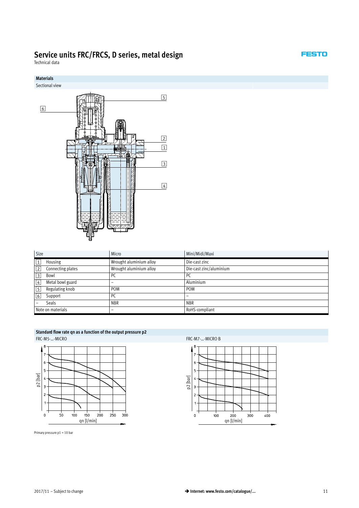Technical data



| Size                            | Micro                   | Mini/Midi/Maxi          |
|---------------------------------|-------------------------|-------------------------|
| Housing<br> 1                   | Wrought aluminium alloy | Die-cast zinc           |
| Connecting plates<br>$\sqrt{2}$ | Wrought aluminium alloy | Die-cast zinc/aluminium |
| $\sqrt{3}$<br>Bowl              | P <sub>C</sub>          | <sub>PC</sub>           |
| Metal bowl guard<br>$ 4\rangle$ | -                       | Aluminium               |
| Regulating knob                 | <b>POM</b>              | <b>POM</b>              |
| 6<br>Support                    | PC                      | -                       |
| <b>Seals</b>                    | <b>NBR</b>              | <b>NBR</b>              |
| Note on materials               | -                       | RoHS-compliant          |

#### **Standard flow rate qn as a function of the output pressure p2**



Primary pressure p1 = 10 bar

FRC-M5-…-MICRO FRC-M7-…-MICRO B



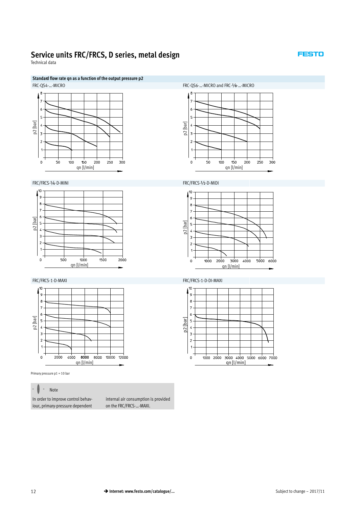**FESTO** 

Technical data

**Standard flow rate qn as a function of the output pressure p2**







Primary pressure p1 = 10 bar

 $\frac{1}{2}$  - Note

In order to improve control behaviour, primary-pressure dependent

internal air consumption is provided on the FRC/FRCS-…-MAXI.







FRC/FRCS-1-D-MAXI FRC/FRCS-1-D-DI-MAXI

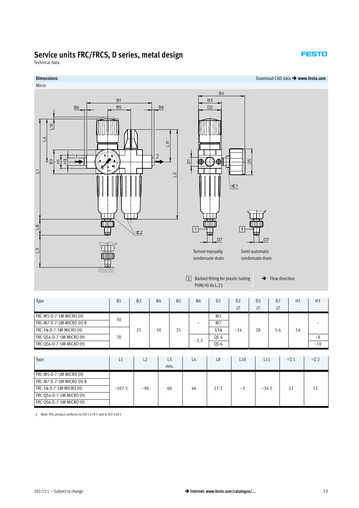Technical data

#### Micro  $B<sub>4</sub>$ **B1** B<sub>3</sub>  $B<sub>5</sub>$  $B6$  $D2$  $\underline{B6}$  $\overline{0}$  $\overline{1}$  $\tilde{t}$  $\overline{\mathsf{d}}$  $\Box$  $\overline{C}$ minin  $\overline{a}$  $\boxed{1}$  $\approx$  2  $D7$  $\overline{\Box}$ Turned manually condensate drain 7/////

1 Barbed fitting for plastic tubing PUN(-H)-8x1,25

 $\rightarrow$  Flow direction

| Type                                                                             | <b>B1</b> | B <sub>3</sub> | <b>B4</b> | <b>B5</b> | <b>B6</b> | D <sub>1</sub>                        | D <sub>2</sub><br>Ø | D <sub>5</sub><br>Ø | D7<br>Ø | H1 | H <sub>3</sub> |
|----------------------------------------------------------------------------------|-----------|----------------|-----------|-----------|-----------|---------------------------------------|---------------------|---------------------|---------|----|----------------|
| FRC-M5-D-7-5M-MICRO (H)<br>FRC-M7-D-7-5M-MICRO (H) B                             | 50        |                |           |           |           | M <sub>5</sub><br>M <sub>7</sub>      |                     |                     |         |    |                |
| FRC-1/8-D-7-5M-MICRO (H)<br>FRC-QS4-D-7-5M-MICRO (H)<br>FRC-QS6-D-7-5M-MICRO (H) | 70        | 25             | 50        | 25        | ~2.5      | G <sup>1</sup> /8<br>$QS-4$<br>$QS-6$ | ~24                 | 28                  | 5.6     | 14 | ~28<br>$~10$   |

| Type                      | L1     | L2   | L3<br>min. | L4 | L <sub>8</sub> | L <sub>10</sub> | L11    | $\equiv$ $\uparrow$ 1 | $\equiv$ 2 |
|---------------------------|--------|------|------------|----|----------------|-----------------|--------|-----------------------|------------|
| FRC-M5-D-7-5M-MICRO (H)   |        |      |            |    |                |                 |        |                       |            |
| FRC-M7-D-7-5M-MICRO (H) B |        |      |            |    |                |                 |        |                       |            |
| FRC-1/8-D-7-5M-MICRO (H)  | ~107.5 | ~100 | 60         | 46 | 17.3           | $\sim$ )        | ~234.5 | 12                    |            |
| FRC-QS4-D-7-5M-MICRO (H)  |        |      |            |    |                |                 |        |                       |            |
| FRC-QS6-D-7-5M-MICRO (H)  |        |      |            |    |                |                 |        |                       |            |

 $\cdot$  |  $\cdot$  Note: This product conforms to ISO 1179-1 and to ISO 228-1



**Dimensions** Download CAD data - **www.festo.com**

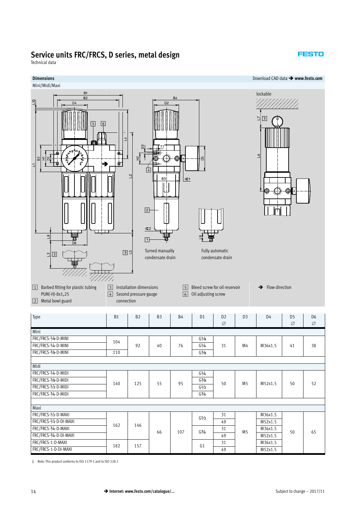#### **FESTO**

Technical data



 $\|\cdot\|$  Note: This product conforms to ISO 1179-1 and to ISO 228-1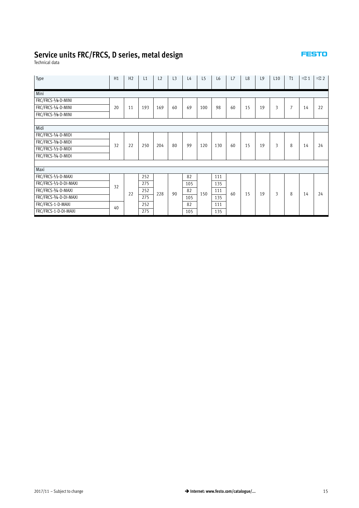Technical data

| Type                   | H1 | H <sub>2</sub> | L1  | L2  | L <sub>3</sub> | L4  | L <sub>5</sub> | L <sub>6</sub> | L7 | L8 | L9 | L <sub>10</sub> | T1             | $=\subset 1$ | $\equiv$ 2 |
|------------------------|----|----------------|-----|-----|----------------|-----|----------------|----------------|----|----|----|-----------------|----------------|--------------|------------|
| Mini                   |    |                |     |     |                |     |                |                |    |    |    |                 |                |              |            |
| FRC/FRCS-1/8-D-MINI    |    |                |     |     |                |     |                |                |    |    |    |                 |                |              |            |
| FRC/FRCS-1/4-D-MINI    | 20 | 11             | 193 | 169 | 60             | 69  | 100            | 98             | 60 | 15 | 19 | 3               | $\overline{7}$ | 14           | 22         |
| FRC/FRCS-3/8-D-MINI    |    |                |     |     |                |     |                |                |    |    |    |                 |                |              |            |
|                        |    |                |     |     |                |     |                |                |    |    |    |                 |                |              |            |
| Midi                   |    |                |     |     |                |     |                |                |    |    |    |                 |                |              |            |
| FRC/FRCS-1/4-D-MIDI    |    |                |     |     |                |     |                |                |    |    |    |                 |                |              |            |
| FRC/FRCS-3/8-D-MIDI    | 32 | 22             | 250 | 204 | 80             | 99  | 120            | 130            | 60 | 15 | 19 | 3               | 8              | 14           | 24         |
| FRC/FRCS-1/2-D-MIDI    |    |                |     |     |                |     |                |                |    |    |    |                 |                |              |            |
| FRC/FRCS-3/4-D-MIDI    |    |                |     |     |                |     |                |                |    |    |    |                 |                |              |            |
|                        |    |                |     |     |                |     |                |                |    |    |    |                 |                |              |            |
| Maxi                   |    |                |     |     |                |     |                |                |    |    |    |                 |                |              |            |
| FRC/FRCS-1/2-D-MAXI    |    |                | 252 |     |                | 82  |                | 111            |    |    |    |                 |                |              |            |
| FRC/FRCS-1/2-D-DI-MAXI | 32 |                | 275 |     |                | 105 |                | 135            |    |    |    |                 |                |              |            |
| FRC/FRCS-3/4-D-MAXI    |    | 22             | 252 | 228 | 90             | 82  | 150            | 111            |    | 15 | 19 | 3               | 8              | 14           |            |
| FRC/FRCS-3/4-D-DI-MAXI |    |                | 275 |     |                | 105 |                | 135            | 60 |    |    |                 |                |              | 24         |
| FRC/FRCS-1-D-MAXI      |    |                | 252 |     |                | 82  |                | 111            |    |    |    |                 |                |              |            |
| FRC/FRCS-1-D-DI-MAXI   | 40 |                | 275 |     |                | 105 |                | 135            |    |    |    |                 |                |              |            |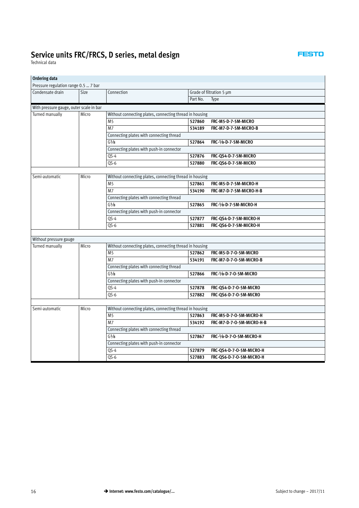**FESTO** 

 $\mathbf{r}$ 

Technical data

| Ordering data                           |       |                                          |                                                         |                           |
|-----------------------------------------|-------|------------------------------------------|---------------------------------------------------------|---------------------------|
| Pressure regulation range 0.5  7 bar    |       |                                          |                                                         |                           |
| Condensate drain                        | Size  | Connection                               | Grade of filtration 5 µm                                |                           |
|                                         |       |                                          | Part No.<br>Type                                        |                           |
| With pressure gauge, outer scale in bar |       |                                          |                                                         |                           |
| Turned manually                         | Micro |                                          | Without connecting plates, connecting thread in housing |                           |
|                                         |       | M <sub>5</sub>                           | 527860                                                  | FRC-M5-D-7-5M-MICRO       |
|                                         |       | M7                                       | 534189                                                  | FRC-M7-D-7-5M-MICRO-B     |
|                                         |       | Connecting plates with connecting thread |                                                         |                           |
|                                         |       | G <sup>1</sup> /8                        | 527864                                                  | FRC-1/8-D-7-5M-MICRO      |
|                                         |       | Connecting plates with push-in connector |                                                         |                           |
|                                         |       | $QS-4$                                   | 527876                                                  | FRC-QS4-D-7-5M-MICRO      |
|                                         |       | $QS-6$                                   | 527880                                                  | FRC-QS6-D-7-5M-MICRO      |
|                                         |       |                                          |                                                         |                           |
| Semi-automatic                          | Micro |                                          | Without connecting plates, connecting thread in housing |                           |
|                                         |       | M <sub>5</sub>                           | 527861                                                  | FRC-M5-D-7-5M-MICRO-H     |
|                                         |       | M7                                       | 534190                                                  | FRC-M7-D-7-5M-MICRO-H-B   |
|                                         |       | Connecting plates with connecting thread |                                                         |                           |
|                                         |       | $G\frac{1}{8}$                           | 527865                                                  | FRC-1/8-D-7-5M-MICRO-H    |
|                                         |       | Connecting plates with push-in connector |                                                         |                           |
|                                         |       | $QS-4$                                   | 527877                                                  | FRC-QS4-D-7-5M-MICRO-H    |
|                                         |       | $QS-6$                                   | 527881                                                  | FRC-QS6-D-7-5M-MICRO-H    |
|                                         |       |                                          |                                                         |                           |
| Without pressure gauge                  |       |                                          |                                                         |                           |
| Turned manually                         | Micro |                                          | Without connecting plates, connecting thread in housing |                           |
|                                         |       | M <sub>5</sub>                           | 527862                                                  | FRC-M5-D-7-O-5M-MICRO     |
|                                         |       | M7                                       | 534191                                                  | FRC-M7-D-7-O-5M-MICRO-B   |
|                                         |       | Connecting plates with connecting thread |                                                         |                           |
|                                         |       | $G\frac{1}{8}$                           | 527866                                                  | FRC-1/8-D-7-O-5M-MICRO    |
|                                         |       | Connecting plates with push-in connector |                                                         |                           |
|                                         |       | $QS-4$                                   | 527878                                                  | FRC-QS4-D-7-O-5M-MICRO    |
|                                         |       | $QS - 6$                                 | 527882                                                  | FRC-QS6-D-7-O-5M-MICRO    |
|                                         |       |                                          |                                                         |                           |
| Semi-automatic                          | Micro |                                          | Without connecting plates, connecting thread in housing |                           |
|                                         |       | M <sub>5</sub>                           | 527863                                                  | FRC-M5-D-7-O-5M-MICRO-H   |
|                                         |       | M7                                       | 534192                                                  | FRC-M7-D-7-O-5M-MICRO-H-B |
|                                         |       | Connecting plates with connecting thread |                                                         |                           |
|                                         |       | $G\frac{1}{8}$                           | 527867                                                  | FRC-1/8-D-7-O-5M-MICRO-H  |
|                                         |       | Connecting plates with push-in connector |                                                         |                           |
|                                         |       | $QS-4$                                   | 527879                                                  | FRC-QS4-D-7-O-5M-MICRO-H  |
|                                         |       | $QS-6$                                   | 527883                                                  | FRC-QS6-D-7-O-5M-MICRO-H  |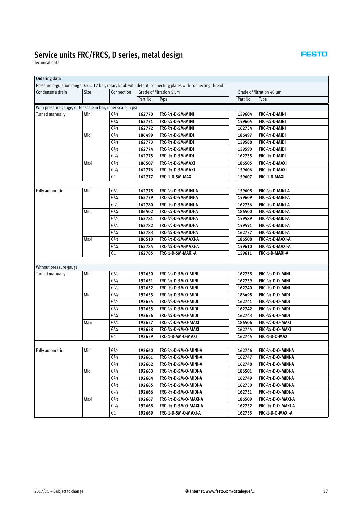Technical data

| Ordering data                                               |      |                                            |          |                                                                                                                                      |          |                           |
|-------------------------------------------------------------|------|--------------------------------------------|----------|--------------------------------------------------------------------------------------------------------------------------------------|----------|---------------------------|
| Condensate drain                                            | Size | Connection                                 |          | Pressure regulation range 0.5  12 bar, rotary knob with detent, connecting plates with connecting thread<br>Grade of filtration 5 µm |          | Grade of filtration 40 µm |
|                                                             |      |                                            |          |                                                                                                                                      |          |                           |
|                                                             |      |                                            | Part No. | Type                                                                                                                                 | Part No. | Type                      |
| With pressure gauge, outer scale in bar, inner scale in psi |      |                                            |          |                                                                                                                                      |          |                           |
| Turned manually                                             | Mini | G <sup>1</sup> /8                          | 162770   | <b>FRC-1/8-D-5M-MINI</b>                                                                                                             | 159604   | FRC-1/8-D-MINI            |
|                                                             |      | G1/4                                       | 162771   | FRC-1/4-D-5M-MINI                                                                                                                    | 159605   | FRC-1/4-D-MINI            |
|                                                             |      | $G\frac{3}{8}$                             | 162772   | FRC-3/8-D-5M-MINI                                                                                                                    | 162734   | FRC-3/8-D-MINI            |
|                                                             | Midi | G1/4                                       | 186499   | FRC-1/4-D-5M-MIDI                                                                                                                    | 186497   | FRC-1/4-D-MIDI            |
|                                                             |      | G <sup>3</sup> /8                          | 162773   | FRC-3/8-D-5M-MIDI                                                                                                                    | 159588   | FRC-3/8-D-MIDI            |
|                                                             |      | G1/2                                       | 162774   | $FRC-1/2-D-5M-MIDI$                                                                                                                  | 159590   | FRC-1/2-D-MIDI            |
|                                                             |      | $G_{4}^{3/4}$                              | 162775   | FRC-3/4-D-5M-MIDI                                                                                                                    | 162735   | FRC-3/4-D-MIDI            |
|                                                             | Maxi | G1/2                                       | 186507   | $FRC-1/2-D-5M-MAXI$                                                                                                                  | 186505   | $FRC-1/2-D-MAXI$          |
|                                                             |      | $G^{3/4}$                                  | 162776   | <b>FRC-3/4-D-5M-MAXI</b>                                                                                                             | 159606   | FRC-3/4-D-MAXI            |
|                                                             |      | G <sub>1</sub>                             | 162777   | FRC-1-D-5M-MAXI                                                                                                                      | 159607   | FRC-1-D-MAXI              |
|                                                             |      |                                            |          |                                                                                                                                      |          |                           |
| Fully automatic                                             | Mini | $G\frac{1}{8}$                             | 162778   | FRC-1/8-D-5M-MINI-A                                                                                                                  | 159608   | FRC-1/8-D-MINI-A          |
|                                                             |      | G1/4                                       | 162779   | FRC-1/4-D-5M-MINI-A                                                                                                                  | 159609   | FRC-1/4-D-MINI-A          |
|                                                             |      | $G\frac{3}{8}$                             | 162780   | FRC-3/8-D-5M-MINI-A                                                                                                                  | 162736   | FRC-3/8-D-MINI-A          |
|                                                             | Midi | G1/4                                       | 186502   | FRC-1/4-D-5M-MIDI-A                                                                                                                  | 186500   | FRC-1/4-D-MIDI-A          |
|                                                             |      | $G\frac{3}{8}$                             | 162781   | FRC-3/8-D-5M-MIDI-A                                                                                                                  | 159589   | FRC-3/8-D-MIDI-A          |
|                                                             |      | G1/2                                       | 162782   | FRC-1/2-D-5M-MIDI-A                                                                                                                  | 159591   | FRC-1/2-D-MIDI-A          |
|                                                             |      | $G_{4}^{3/4}$                              | 162783   | FRC-3/4-D-5M-MIDI-A                                                                                                                  | 162737   | FRC-3/4-D-MIDI-A          |
|                                                             | Maxi | G1/2                                       | 186510   | FRC-1/2-D-5M-MAXI-A                                                                                                                  | 186508   | FRC-1/2-D-MAXI-A          |
|                                                             |      | $G^{3/4}$                                  | 162784   | FRC-3/4-D-5M-MAXI-A                                                                                                                  | 159610   | FRC-3/4-D-MAXI-A          |
|                                                             |      | G <sub>1</sub>                             | 162785   | FRC-1-D-5M-MAXI-A                                                                                                                    | 159611   | FRC-1-D-MAXI-A            |
|                                                             |      |                                            |          |                                                                                                                                      |          |                           |
| Without pressure gauge                                      |      |                                            |          |                                                                                                                                      |          |                           |
| Turned manually                                             | Mini | $\mathsf{G}1\!/\!\mathsf{s}$               | 192650   | FRC-1/8-D-5M-O-MINI                                                                                                                  | 162738   | <b>FRC-1/8-D-O-MINI</b>   |
|                                                             |      | G1/4                                       | 192651   | FRC-1/4-D-5M-O-MINI                                                                                                                  | 162739   | FRC-1/4-D-0-MINI          |
|                                                             |      | $G\frac{3}{8}$                             | 192652   | FRC-3/8-D-5M-O-MINI                                                                                                                  | 162740   | FRC-3/8-D-O-MINI          |
|                                                             | Midi | $\mathsf{G}\mathsf{1}\mathsf{/}\mathsf{4}$ | 192653   | FRC-1/4-D-5M-O-MIDI                                                                                                                  | 186498   | FRC-1/4-D-O-MIDI          |
|                                                             |      | G <sup>3</sup> /8                          | 192654   | FRC-3/8-D-5M-O-MIDI                                                                                                                  | 162741   | FRC-3/8-D-O-MIDI          |
|                                                             |      | G1/2                                       | 192655   | FRC-1/2-D-5M-O-MIDI                                                                                                                  | 162742   | FRC-1/2-D-O-MIDI          |
|                                                             |      | $G_{4}^{3/4}$                              | 192656   | FRC-3/4-D-5M-O-MIDI                                                                                                                  | 162743   | FRC-3/4-D-O-MIDI          |
|                                                             | Maxi | $\mathsf{G}1\!/\!2$                        | 192657   | FRC-1/2-D-5M-O-MAXI                                                                                                                  | 186506   | <b>FRC-1/2-D-O-MAXI</b>   |
|                                                             |      | $G^{3/4}$                                  | 192658   | FRC-3/4-D-5M-O-MAXI                                                                                                                  | 162744   | FRC-3/4-D-O-MAXI          |
|                                                             |      | G1                                         | 192659   | FRC-1-D-5M-O-MAXI                                                                                                                    | 162745   | FRC-1-D-O-MAXI            |
|                                                             |      |                                            |          |                                                                                                                                      |          |                           |
| Fully automatic                                             | Mini | $G\frac{1}{8}$                             | 192660   | FRC-1/8-D-5M-O-MINI-A                                                                                                                | 162746   | FRC-1/8-D-O-MINI-A        |
|                                                             |      | $G^{1/4}$                                  | 192661   | FRC-1/4-D-5M-O-MINI-A                                                                                                                | 162747   | FRC-1/4-D-O-MINI-A        |
|                                                             |      | $G\frac{3}{8}$                             | 192662   | FRC-3/8-D-5M-O-MINI-A                                                                                                                | 162748   | FRC-3/8-D-O-MINI-A        |
|                                                             | Midi | $G\frac{1}{4}$                             | 192663   | FRC-1/4-D-5M-O-MIDI-A                                                                                                                | 186501   | FRC-1/4-D-O-MIDI-A        |
|                                                             |      | G <sup>3</sup> /8                          | 192664   | FRC-3/8-D-5M-O-MIDI-A                                                                                                                | 162749   | FRC-3/8-D-O-MIDI-A        |
|                                                             |      | G1/2                                       | 192665   | $FRC-1/2-D-5M-O-MIDI-A$                                                                                                              | 162750   | FRC-1/2-D-0-MIDI-A        |
|                                                             |      | $G_{4}^{3/4}$                              | 192666   | FRC-3/4-D-5M-O-MIDI-A                                                                                                                | 162751   | FRC-3/4-D-O-MIDI-A        |
|                                                             | Maxi | G <sup>1</sup> /2                          | 192667   | $FRC-1/2-D-5M-O-MAXI-A$                                                                                                              | 186509   | $FRC-1/2-D-O-MAXI-A$      |
|                                                             |      | $G\frac{3}{4}$                             | 192668   | FRC-3/4-D-5M-O-MAXI-A                                                                                                                | 162752   | FRC-3/4-D-O-MAXI-A        |
|                                                             |      | G1                                         | 192669   | FRC-1-D-5M-O-MAXI-A                                                                                                                  | 162753   | FRC-1-D-0-MAXI-A          |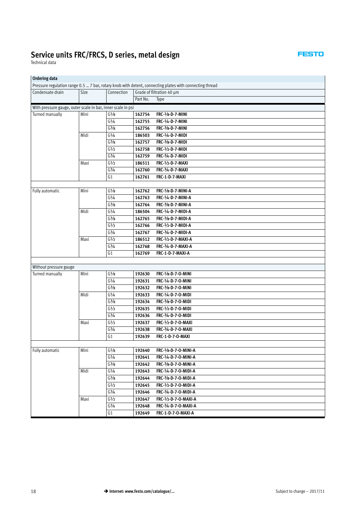Technical data

|                                                             |      |                                            |          | Pressure regulation range 0.5  7 bar, rotary knob with detent, connecting plates with connecting thread |
|-------------------------------------------------------------|------|--------------------------------------------|----------|---------------------------------------------------------------------------------------------------------|
| Condensate drain                                            | Size | Connection                                 |          | Grade of filtration 40 µm                                                                               |
|                                                             |      |                                            | Part No. | Type                                                                                                    |
| With pressure gauge, outer scale in bar, inner scale in psi |      |                                            |          |                                                                                                         |
| Turned manually                                             | Mini | G <sup>1</sup> /8                          | 162754   | FRC-1/8-D-7-MINI                                                                                        |
|                                                             |      | G1/4                                       | 162755   | FRC-1/4-D-7-MINI                                                                                        |
|                                                             |      | G <sup>3</sup> /8                          | 162756   | FRC-3/8-D-7-MINI                                                                                        |
|                                                             | Midi | $G\frac{1}{4}$                             | 186503   | FRC-1/4-D-7-MIDI                                                                                        |
|                                                             |      | $\mathsf{G}^3\!/\!8$                       | 162757   | FRC-3/8-D-7-MIDI                                                                                        |
|                                                             |      | G <sup>1</sup> /2                          | 162758   | FRC-1/2-D-7-MIDI                                                                                        |
|                                                             |      | $G_{4}^{3/4}$                              | 162759   | FRC-3/4-D-7-MIDI                                                                                        |
|                                                             | Maxi | G1/2                                       | 186511   | FRC-1/2-D-7-MAXI                                                                                        |
|                                                             |      | $G_{4}^{3/4}$                              | 162760   | <b>FRC-3/4-D-7-MAXI</b>                                                                                 |
|                                                             |      | G <sub>1</sub>                             | 162761   | FRC-1-D-7-MAXI                                                                                          |
| Fully automatic                                             | Mini | G <sup>1</sup> /8                          | 162762   | FRC-1/8-D-7-MINI-A                                                                                      |
|                                                             |      | G <sup>1</sup> / <sub>4</sub>              | 162763   | FRC-1/4-D-7-MINI-A                                                                                      |
|                                                             |      | $\mathsf{G}^3\!/\!8$                       | 162764   | FRC-3/8-D-7-MINI-A                                                                                      |
|                                                             | Midi | G1/4                                       | 186504   | FRC-1/4-D-7-MIDI-A                                                                                      |
|                                                             |      | $G\frac{3}{8}$                             | 162765   | FRC-3/8-D-7-MIDI-A                                                                                      |
|                                                             |      | $\mathsf{G}^{1}\!/\!2$                     | 162766   | FRC-1/2-D-7-MIDI-A                                                                                      |
|                                                             |      | $G_{4}^{3/4}$                              | 162767   | FRC-3/4-D-7-MIDI-A                                                                                      |
|                                                             | Maxi | G <sup>1</sup> /2                          | 186512   | FRC-1/2-D-7-MAXI-A                                                                                      |
|                                                             |      | $G\frac{3}{4}$                             | 162768   | FRC-3/4-D-7-MAXI-A                                                                                      |
|                                                             |      | G <sub>1</sub>                             | 162769   | FRC-1-D-7-MAXI-A                                                                                        |
|                                                             |      |                                            |          |                                                                                                         |
| Without pressure gauge                                      |      |                                            |          |                                                                                                         |
| Turned manually                                             | Mini | $G\frac{1}{8}$                             | 192630   | FRC-1/8-D-7-O-MINI                                                                                      |
|                                                             |      | G1/4                                       | 192631   | FRC-1/4-D-7-O-MINI                                                                                      |
|                                                             |      | $G\frac{3}{8}$                             | 192632   | FRC-3/8-D-7-0-MINI                                                                                      |
|                                                             | Midi | $\mathsf{G}\mathsf{1}\mathsf{/}\mathsf{4}$ | 192633   | FRC-1/4-D-7-O-MIDI                                                                                      |
|                                                             |      | $G\frac{3}{8}$                             | 192634   | FRC-3/8-D-7-O-MIDI                                                                                      |
|                                                             |      | G1/2                                       | 192635   | FRC-1/2-D-7-0-MIDI                                                                                      |
|                                                             |      | $G_{4}^{3/4}$                              | 192636   | FRC-3/4-D-7-O-MIDI                                                                                      |
|                                                             | Maxi | $\mathsf{G}^{1}\!/_{\!2}$                  | 192637   | FRC-1/2-D-7-O-MAXI                                                                                      |
|                                                             |      | $G^{3/4}$                                  | 192638   | FRC-3/4-D-7-O-MAXI                                                                                      |
|                                                             |      | G <sub>1</sub>                             | 192639   | <b>FRC-1-D-7-0-MAXI</b>                                                                                 |
|                                                             |      |                                            |          |                                                                                                         |
| Fully automatic                                             | Mini | $G\frac{1}{8}$                             | 192640   | FRC-1/8-D-7-O-MINI-A                                                                                    |
|                                                             |      | G1/4                                       | 192641   | FRC-1/4-D-7-O-MINI-A                                                                                    |
|                                                             |      | $G\frac{3}{8}$                             | 192642   | FRC-3/8-D-7-O-MINI-A                                                                                    |
|                                                             | Midi | $\mathsf{G}\mathsf{1}\mathsf{4}$           | 192643   | FRC-1/4-D-7-0-MIDI-A                                                                                    |
|                                                             |      | $G\frac{3}{8}$                             | 192644   | FRC-3/8-D-7-0-MIDI-A                                                                                    |
|                                                             |      | $\mathsf{G}^{1\!}/_{\!2}$                  | 192645   | FRC-1/2-D-7-0-MIDI-A                                                                                    |
|                                                             |      | $G\frac{3}{4}$                             | 192646   | FRC-3/4-D-7-O-MIDI-A                                                                                    |
|                                                             | Maxi | $\mathsf{G}\mathsf{1}\mathsf{1}\mathsf{2}$ | 192647   | FRC-1/2-D-7-O-MAXI-A                                                                                    |
|                                                             |      | $G^{3/4}$                                  | 192648   | FRC-3/4-D-7-O-MAXI-A                                                                                    |
|                                                             |      | G <sub>1</sub>                             | 192649   | FRC-1-D-7-O-MAXI-A                                                                                      |

**FESTO**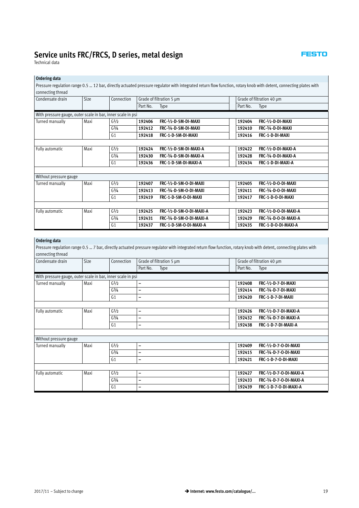

Technical data

#### **Ordering data**

Pressure regulation range 0.5 … 12 bar, directly actuated pressure regulator with integrated return flow function, rotary knob with detent, connecting plates with connecting thread

| Condensate drain                                            | Size | Connection        |                                | Grade of filtration 5 µm      |          | Grade of filtration 40 µm |
|-------------------------------------------------------------|------|-------------------|--------------------------------|-------------------------------|----------|---------------------------|
|                                                             |      |                   | Part No.                       | Type                          | Part No. | Type                      |
| With pressure gauge, outer scale in bar, inner scale in psi |      |                   |                                |                               |          |                           |
| Turned manually                                             | Maxi | $G\frac{1}{2}$    | 192406                         | $FRC-1/2-D-5M-DI-MAXI$        | 192404   | FRC-1/2-D-DI-MAXI         |
|                                                             |      | $G^{3/4}$         | FRC-3/4-D-5M-DI-MAXI<br>192412 |                               | 192410   | FRC-3/4-D-DI-MAXI         |
|                                                             |      | G <sub>1</sub>    | 192418                         | FRC-1-D-5M-DI-MAXI            | 192416   | FRC-1-D-DI-MAXI           |
|                                                             |      |                   |                                |                               |          |                           |
| Fully automatic                                             | Maxi | G <sup>1</sup> /2 | 192424                         | $FRC-1/2-D-5M-DI-MAXI-A$      | 192422   | $FRC-1/2-D-DI-MAXI-A$     |
|                                                             |      | $G^{3/4}$         | 192430                         | FRC-3/4-D-5M-DI-MAXI-A        | 192428   | FRC-3/4-D-DI-MAXI-A       |
|                                                             |      | G <sub>1</sub>    | 192436                         | FRC-1-D-5M-DI-MAXI-A          | 192434   | FRC-1-D-DI-MAXI-A         |
|                                                             |      |                   |                                |                               |          |                           |
| Without pressure gauge                                      |      |                   |                                |                               |          |                           |
| Turned manually                                             | Maxi | $G\frac{1}{2}$    | 192407                         | FRC-1/2-D-5M-O-DI-MAXI        | 192405   | FRC-1/2-D-O-DI-MAXI       |
|                                                             |      | $G^{3/4}$         | 192413                         | <b>FRC-3/4-D-5M-O-DI-MAXI</b> | 192411   | FRC-3/4-D-O-DI-MAXI       |
|                                                             |      | G <sub>1</sub>    | 192419                         | FRC-1-D-5M-O-DI-MAXI          | 192417   | FRC-1-D-O-DI-MAXI         |
|                                                             |      |                   |                                |                               |          |                           |
| Fully automatic                                             | Maxi | $G\frac{1}{2}$    | 192425                         | FRC-1/2-D-5M-O-DI-MAXI-A      | 192423   | FRC-1/2-D-0-DI-MAXI-A     |
|                                                             |      | $G^{3/4}$         | 192431                         | FRC-3/4-D-5M-O-DI-MAXI-A      | 192429   | FRC-3/4-D-O-DI-MAXI-A     |
|                                                             |      | G <sub>1</sub>    | 192437                         | FRC-1-D-5M-O-DI-MAXI-A        | 192435   | FRC-1-D-O-DI-MAXI-A       |

#### **Ordering data**

Pressure regulation range 0.5 … 7 bar, directly actuated pressure regulator with integrated return flow function, rotary knob with detent, connecting plates with connecting thread

| Condensate drain                                            | Size | Connection        | Grade of filtration 5 µm |          | Grade of filtration 40 µm |
|-------------------------------------------------------------|------|-------------------|--------------------------|----------|---------------------------|
|                                                             |      |                   | Part No.<br>Type         | Part No. | Type                      |
| With pressure gauge, outer scale in bar, inner scale in psi |      |                   |                          |          |                           |
| Turned manually                                             | Maxi | G <sup>1</sup> /2 | -                        | 192408   | FRC-1/2-D-7-DI-MAXI       |
|                                                             |      | $G^{3/4}$         | -                        | 192414   | FRC-3/4-D-7-DI-MAXI       |
|                                                             |      | G <sub>1</sub>    | -                        | 192420   | FRC-1-D-7-DI-MAXI         |
|                                                             |      |                   |                          |          |                           |
| Fully automatic                                             | Maxi | G1/2              | $\qquad \qquad$          | 192426   | FRC-1/2-D-7-DI-MAXI-A     |
|                                                             |      | $G^{3/4}$         | -                        | 192432   | FRC-3/4-D-7-DI-MAXI-A     |
|                                                             |      | G <sub>1</sub>    | -                        | 192438   | FRC-1-D-7-DI-MAXI-A       |
|                                                             |      |                   |                          |          |                           |
| Without pressure gauge                                      |      |                   |                          |          |                           |
| Turned manually                                             | Maxi | G <sup>1</sup> /2 | -                        | 192409   | FRC-1/2-D-7-O-DI-MAXI     |
|                                                             |      | $G^{3/4}$         | -                        | 192415   | FRC-3/4-D-7-O-DI-MAXI     |
|                                                             |      | G <sub>1</sub>    | -                        | 192421   | FRC-1-D-7-O-DI-MAXI       |
|                                                             |      |                   |                          |          |                           |
| Fully automatic                                             | Maxi | G1/2              | -                        | 192427   | FRC-1/2-D-7-O-DI-MAXI-A   |
|                                                             |      | $G^{3/4}$         | -                        | 192433   | FRC-3/4-D-7-O-DI-MAXI-A   |
|                                                             |      | G <sub>1</sub>    | -                        | 192439   | FRC-1-D-7-O-DI-MAXI-A     |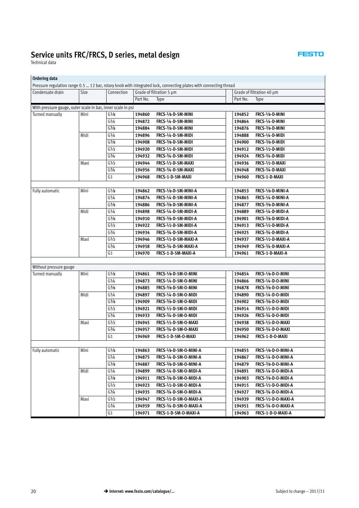Technical data

 $\mathbf{r}$ 

| Ordering data                                               |      |                                            |          |                                                                                                                   |          |                            |
|-------------------------------------------------------------|------|--------------------------------------------|----------|-------------------------------------------------------------------------------------------------------------------|----------|----------------------------|
|                                                             |      |                                            |          | Pressure regulation range 0.5  12 bar, rotary knob with integrated lock, connecting plates with connecting thread |          |                            |
| Condensate drain                                            | Size | Connection                                 |          | Grade of filtration 5 µm                                                                                          |          | Grade of filtration 40 µm  |
|                                                             |      |                                            | Part No. | Type                                                                                                              | Part No. | Type                       |
| With pressure gauge, outer scale in bar, inner scale in psi |      |                                            |          |                                                                                                                   |          |                            |
| Turned manually                                             | Mini | G <sup>1</sup> /8                          | 194860   | FRCS-1/8-D-5M-MINI                                                                                                | 194852   | FRCS-1/8-D-MINI            |
|                                                             |      | G1/4                                       | 194872   | FRCS-1/4-D-5M-MINI                                                                                                | 194864   | FRCS-1/4-D-MINI            |
|                                                             |      | $G\frac{3}{8}$                             | 194884   | FRCS-3/8-D-5M-MINI                                                                                                | 194876   | FRCS-3/8-D-MINI            |
|                                                             | Midi | G1/4                                       | 194896   | FRCS-1/4-D-5M-MIDI                                                                                                | 194888   | FRCS-1/4-D-MIDI            |
|                                                             |      | $G\frac{3}{8}$                             | 194908   | FRCS-3/8-D-5M-MIDI                                                                                                | 194900   | FRCS-3/8-D-MIDI            |
|                                                             |      | G1/2                                       | 194920   | <b>FRCS-1/2-D-5M-MIDI</b>                                                                                         | 194912   | FRCS-1/2-D-MIDI            |
|                                                             |      | $G^{3}/4$                                  | 194932   | FRCS-3/4-D-5M-MIDI                                                                                                | 194924   | FRCS-3/4-D-MIDI            |
|                                                             | Maxi | G1/2                                       | 194944   | FRCS-1/2-D-5M-MAXI                                                                                                | 194936   | FRCS-1/2-D-MAXI            |
|                                                             |      | $G_{4}^{3/4}$                              | 194956   | FRCS-3/4-D-5M-MAXI                                                                                                | 194948   | FRCS-3/4-D-MAXI            |
|                                                             |      | G1                                         | 194968   | FRCS-1-D-5M-MAXI                                                                                                  | 194960   | FRCS-1-D-MAXI              |
|                                                             |      |                                            |          |                                                                                                                   |          |                            |
| Fully automatic                                             | Mini | $G\frac{1}{8}$                             | 194862   | FRCS-1/8-D-5M-MINI-A                                                                                              | 194853   | FRCS-1/8-D-MINI-A          |
|                                                             |      | G1/4                                       | 194874   | FRCS-1/4-D-5M-MINI-A                                                                                              | 194865   | FRCS-1/4-D-MINI-A          |
|                                                             |      | $G\frac{3}{8}$                             | 194886   | FRCS-3/8-D-5M-MINI-A                                                                                              | 194877   | FRCS-3/8-D-MINI-A          |
|                                                             | Midi | G1/4                                       | 194898   | FRCS-1/4-D-5M-MIDI-A                                                                                              | 194889   | FRCS-1/4-D-MIDI-A          |
|                                                             |      | $G\frac{3}{8}$                             | 194910   | FRCS-3/8-D-5M-MIDI-A                                                                                              | 194901   | FRCS-3/8-D-MIDI-A          |
|                                                             |      | G1/2                                       | 194922   | FRCS-1/2-D-5M-MIDI-A                                                                                              | 194913   | FRCS-1/2-D-MIDI-A          |
|                                                             |      | $G^{3}/4$                                  | 194934   | FRCS-3/4-D-5M-MIDI-A                                                                                              | 194925   | FRCS-3/4-D-MIDI-A          |
|                                                             | Maxi | G1/2                                       | 194946   | FRCS-1/2-D-5M-MAXI-A                                                                                              | 194937   | FRCS-1/2-D-MAXI-A          |
|                                                             |      | $G_{4}^{3/4}$                              | 194958   | FRCS-3/4-D-5M-MAXI-A                                                                                              | 194949   | FRCS-3/4-D-MAXI-A          |
|                                                             |      | G1                                         | 194970   | FRCS-1-D-5M-MAXI-A                                                                                                | 194961   | FRCS-1-D-MAXI-A            |
|                                                             |      |                                            |          |                                                                                                                   |          |                            |
| Without pressure gauge                                      |      |                                            |          |                                                                                                                   |          |                            |
| Turned manually                                             | Mini | $G\frac{1}{8}$                             | 194861   | FRCS-1/8-D-5M-O-MINI                                                                                              | 194854   | FRCS-1/8-D-O-MINI          |
|                                                             |      | G1/4                                       | 194873   | FRCS-1/4-D-5M-O-MINI                                                                                              | 194866   | FRCS-1/4-D-0-MINI          |
|                                                             |      | $G\frac{3}{8}$                             | 194885   | FRCS-3/8-D-5M-O-MINI                                                                                              | 194878   | FRCS-3/8-D-O-MINI          |
|                                                             | Midi | $\mathsf{G}\mathsf{1}\mathsf{/}\mathsf{4}$ | 194897   | FRCS-1/4-D-5M-O-MIDI                                                                                              | 194890   | FRCS-1/4-D-O-MIDI          |
|                                                             |      | $G\frac{3}{8}$                             | 194909   | FRCS-3/8-D-5M-O-MIDI                                                                                              | 194902   | FRCS-3/8-D-O-MIDI          |
|                                                             |      | G1/2                                       | 194921   | FRCS-1/2-D-5M-O-MIDI                                                                                              | 194914   | <b>FRCS-1/2-D-O-MIDI</b>   |
|                                                             |      | $G^{3}/4$                                  | 194933   | FRCS-3/4-D-5M-O-MIDI                                                                                              | 194926   | FRCS-3/4-D-O-MIDI          |
|                                                             | Maxi | G1/2                                       | 194945   | FRCS-1/2-D-5M-O-MAXI                                                                                              | 194938   | FRCS-1/2-D-O-MAXI          |
|                                                             |      | $G_{4}^{3/4}$                              | 194957   | FRCS-3/4-D-5M-O-MAXI                                                                                              | 194950   | FRCS-3/4-D-O-MAXI          |
|                                                             |      | G1                                         | 194969   | FRCS-1-D-5M-O-MAXI                                                                                                | 194962   | FRCS-1-D-O-MAXI            |
|                                                             |      |                                            |          |                                                                                                                   |          |                            |
| Fully automatic                                             | Mini | $G\frac{1}{8}$                             | 194863   | FRCS-1/8-D-5M-O-MINI-A                                                                                            | 194855   | FRCS-1/8-D-O-MINI-A        |
|                                                             |      | G1/4                                       | 194875   | FRCS-1/4-D-5M-O-MINI-A                                                                                            | 194867   | FRCS-1/4-D-O-MINI-A        |
|                                                             |      | $G\frac{3}{8}$                             | 194887   | FRCS-3/8-D-5M-O-MINI-A                                                                                            | 194879   | FRCS-3/8-D-O-MINI-A        |
|                                                             | Midi | G1/4                                       | 194899   | FRCS-1/4-D-5M-O-MIDI-A                                                                                            | 194891   | FRCS-1/4-D-O-MIDI-A        |
|                                                             |      | $G\frac{3}{8}$                             | 194911   | FRCS-3/8-D-5M-O-MIDI-A                                                                                            | 194903   | FRCS-3/8-D-O-MIDI-A        |
|                                                             |      | G1/2                                       | 194923   | $FRCS-1/2-D-5M-O-MIDI-A$                                                                                          | 194915   | FRCS-1/2-D-O-MIDI-A        |
|                                                             |      | $G_{4}^{3/4}$                              | 194935   | FRCS-3/4-D-5M-O-MIDI-A                                                                                            | 194927   | FRCS-3/4-D-O-MIDI-A        |
|                                                             | Maxi | G1/2                                       | 194947   | $FRCS-1/2-D-5M-O-MAXI-A$                                                                                          | 194939   | <b>FRCS-1/2-D-O-MAXI-A</b> |
|                                                             |      | $G_{4}^{3/4}$                              | 194959   | FRCS-3/4-D-5M-O-MAXI-A                                                                                            | 194951   | FRCS-3/4-D-O-MAXI-A        |
|                                                             |      | G1                                         | 194971   | FRCS-1-D-5M-O-MAXI-A                                                                                              | 194963   | FRCS-1-D-O-MAXI-A          |

**FESTO** 

L,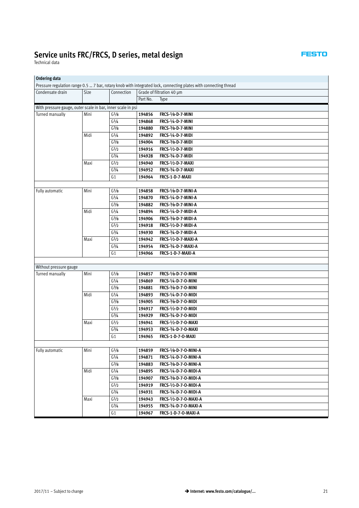Technical data

| <b>Ordering data</b>                                        |      |                                            |          |                                                                                                                  |
|-------------------------------------------------------------|------|--------------------------------------------|----------|------------------------------------------------------------------------------------------------------------------|
|                                                             |      |                                            |          | Pressure regulation range 0.5  7 bar, rotary knob with integrated lock, connecting plates with connecting thread |
| Condensate drain                                            | Size | Connection                                 |          | Grade of filtration 40 µm                                                                                        |
|                                                             |      |                                            | Part No. | Type                                                                                                             |
| With pressure gauge, outer scale in bar, inner scale in psi |      |                                            |          |                                                                                                                  |
| Turned manually                                             | Mini | $G\frac{1}{8}$                             | 194856   | <b>FRCS-1/8-D-7-MINI</b>                                                                                         |
|                                                             |      | G1/4                                       | 194868   | FRCS-1/4-D-7-MINI                                                                                                |
|                                                             |      | $G\frac{3}{8}$                             | 194880   | FRCS-3/8-D-7-MINI                                                                                                |
|                                                             | Midi | G1/4                                       | 194892   | FRCS-1/4-D-7-MIDI                                                                                                |
|                                                             |      | $G\frac{3}{8}$                             | 194904   | FRCS-3/8-D-7-MIDI                                                                                                |
|                                                             |      | G1/2                                       | 194916   | FRCS-1/2-D-7-MIDI                                                                                                |
|                                                             |      | $G^{3/4}$                                  | 194928   | FRCS-3/4-D-7-MIDI                                                                                                |
|                                                             | Maxi | G1/2                                       | 194940   | <b>FRCS-1/2-D-7-MAXI</b>                                                                                         |
|                                                             |      | $G\frac{3}{4}$                             | 194952   | FRCS-3/4-D-7-MAXI                                                                                                |
|                                                             |      | G <sub>1</sub>                             | 194964   | FRCS-1-D-7-MAXI                                                                                                  |
|                                                             |      |                                            |          |                                                                                                                  |
| Fully automatic                                             | Mini | $G\frac{1}{8}$                             | 194858   | <b>FRCS-1/8-D-7-MINI-A</b>                                                                                       |
|                                                             |      | G1/4                                       | 194870   | FRCS-1/4-D-7-MINI-A                                                                                              |
|                                                             |      | $G\frac{3}{8}$                             | 194882   | FRCS-3/8-D-7-MINI-A                                                                                              |
|                                                             | Midi | G1/4                                       | 194894   | FRCS-1/4-D-7-MIDI-A                                                                                              |
|                                                             |      | $G\frac{3}{8}$                             | 194906   | FRCS-3/8-D-7-MIDI-A                                                                                              |
|                                                             |      | G1/2                                       | 194918   | FRCS-1/2-D-7-MIDI-A                                                                                              |
|                                                             |      | $G_{4}^{3/4}$                              | 194930   | FRCS-3/4-D-7-MIDI-A                                                                                              |
|                                                             | Maxi | G1/2                                       | 194942   | FRCS-1/2-D-7-MAXI-A                                                                                              |
|                                                             |      | $G^{3/4}$                                  | 194954   | FRCS-3/4-D-7-MAXI-A                                                                                              |
|                                                             |      | G <sub>1</sub>                             | 194966   | FRCS-1-D-7-MAXI-A                                                                                                |
|                                                             |      |                                            |          |                                                                                                                  |
| Without pressure gauge                                      |      |                                            |          |                                                                                                                  |
| Turned manually                                             | Mini | $\mathsf{G}1\!/\!\mathsf{s}$               | 194857   | FRCS-1/8-D-7-0-MINI                                                                                              |
|                                                             |      | G1/4                                       | 194869   | FRCS-1/4-D-7-O-MINI                                                                                              |
|                                                             |      | $G\frac{3}{8}$                             | 194881   | FRCS-3/8-D-7-O-MINI                                                                                              |
|                                                             | Midi | $\mathsf{G}\mathsf{1}\mathsf{/}\mathsf{4}$ | 194893   | FRCS-1/4-D-7-0-MIDI                                                                                              |
|                                                             |      | $G\frac{3}{8}$                             | 194905   | FRCS-3/8-D-7-0-MIDI                                                                                              |
|                                                             |      | G1/2<br>$G^{3/4}$                          | 194917   | FRCS-1/2-D-7-0-MIDI                                                                                              |
|                                                             |      |                                            | 194929   | FRCS-3/4-D-7-0-MIDI                                                                                              |
|                                                             | Maxi | $\mathsf{G}1\!/\!2$                        | 194941   | FRCS-1/2-D-7-0-MAXI<br><b>FRCS-3/4-D-7-O-MAXI</b>                                                                |
|                                                             |      | $G_{4}^{3/4}$<br>G1                        | 194953   | <b>FRCS-1-D-7-0-MAXI</b>                                                                                         |
|                                                             |      |                                            | 194965   |                                                                                                                  |
| Fully automatic                                             | Mini | $G\frac{1}{8}$                             | 194859   | FRCS-1/8-D-7-O-MINI-A                                                                                            |
|                                                             |      | G <sup>1</sup> / <sub>4</sub>              | 194871   | FRCS-1/4-D-7-O-MINI-A                                                                                            |
|                                                             |      | $G\frac{3}{8}$                             | 194883   | FRCS-3/8-D-7-O-MINI-A                                                                                            |
|                                                             | Midi | $\mathsf{G}\mathsf{1}\mathsf{/}\mathsf{4}$ | 194895   | FRCS-1/4-D-7-O-MIDI-A                                                                                            |
|                                                             |      | $G\frac{3}{8}$                             | 194907   | FRCS-3/8-D-7-O-MIDI-A                                                                                            |
|                                                             |      | G1/2                                       | 194919   | FRCS-1/2-D-7-O-MIDI-A                                                                                            |
|                                                             |      | $G\frac{3}{4}$                             | 194931   | FRCS-3/4-D-7-O-MIDI-A                                                                                            |
|                                                             | Maxi | $\mathsf{G}^{1\!}/_{\!2}$                  | 194943   | FRCS-1/2-D-7-O-MAXI-A                                                                                            |
|                                                             |      | $G\frac{3}{4}$                             | 194955   | FRCS-3/4-D-7-O-MAXI-A                                                                                            |
|                                                             |      | G1                                         | 194967   | FRCS-1-D-7-O-MAXI-A                                                                                              |
|                                                             |      |                                            |          |                                                                                                                  |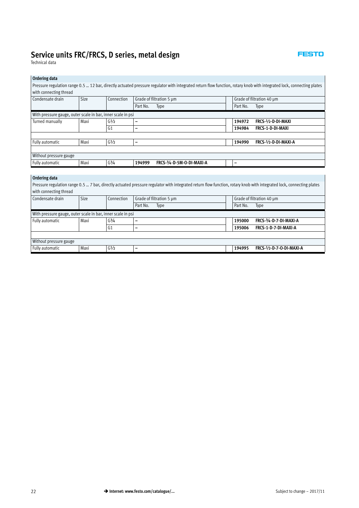#### **FESTO**

Technical data

#### **Ordering data**

Pressure regulation range 0.5 … 12 bar, directly actuated pressure regulator with integrated return flow function, rotary knob with integrated lock, connecting plates with connecting thread

| Condensate drain                                            | <b>Size</b> | Connection        | Grade of filtration 5 µm            | Grade of filtration 40 µm         |
|-------------------------------------------------------------|-------------|-------------------|-------------------------------------|-----------------------------------|
|                                                             |             |                   | Type<br>Part No.                    | Type<br>Part No.                  |
| With pressure gauge, outer scale in bar, inner scale in psi |             |                   |                                     |                                   |
| Turned manually                                             | Maxi        | G <sup>1</sup> /2 |                                     | FRCS-1/2-D-DI-MAXI<br>194972      |
|                                                             |             | G <sub>1</sub>    | -                                   | <b>FRCS-1-D-DI-MAXI</b><br>194984 |
|                                                             |             |                   |                                     |                                   |
| Fully automatic                                             | Maxi        | G <sup>1</sup> /2 | $\overline{\phantom{0}}$            | FRCS-1/2-D-DI-MAXI-A<br>194990    |
|                                                             |             |                   |                                     |                                   |
| Without pressure gauge                                      |             |                   |                                     |                                   |
| Fully automatic                                             | Maxi        | $G^{3}/4$         | FRCS-3/4-D-5M-O-DI-MAXI-A<br>194999 |                                   |

#### **Ordering data**

Pressure regulation range 0.5 … 7 bar, directly actuated pressure regulator with integrated return flow function, rotary knob with integrated lock, connecting plates with connecting thread Condensate drain Size Connection Grade of filtration 5 μm Grade of filtration 40 μm Part No. Type **Part No.** Type With pressure gauge, outer scale in bar, inner scale in psi Fully automatic Maxi G¾ **– 195000 FRCS-**¾**-D-7-DI-MAXI-A** G1 **– 195006 FRCS-1-D-7-DI-MAXI-A** Without pressure gauge Fully automatic Maxi G½ **– 194995 FRCS-**½**-D-7-O-DI-MAXI-A**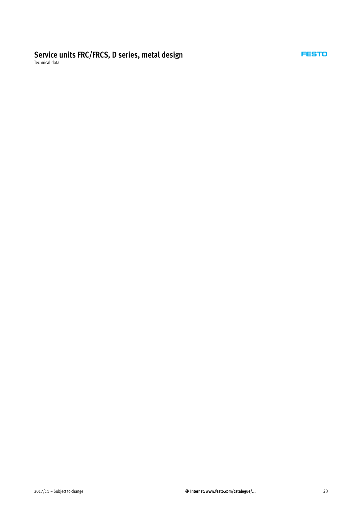Technical data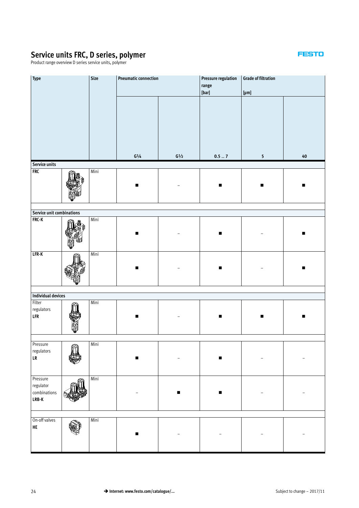Product range overview D series service units, polymer

| Type                                           |  | <b>Size</b> | <b>Pneumatic connection</b>          |                           | <b>Pressure regulation</b><br>range<br>$[{\sf bar}]% \begin{center} \includegraphics[width=1\textwidth]{figures/cdf} \end{center} \caption{The first two different values of the parameter \sigma in the right-hand side. The first two different values of the parameter \sigma is the same as in the right side. The second two different values of the parameter \sigma is the same as in the right side. The second two different values of the parameter \sigma is the same as in the right side. The second two different values of the parameter \sigma is the same as in the right side. The second two different values of the parameter \sigma is the same as in the right side. The second two different values of the parameter \sigma is the same as in the right side.$ | <b>Grade of filtration</b><br>$[\mu \text{m}]$ |            |
|------------------------------------------------|--|-------------|--------------------------------------|---------------------------|---------------------------------------------------------------------------------------------------------------------------------------------------------------------------------------------------------------------------------------------------------------------------------------------------------------------------------------------------------------------------------------------------------------------------------------------------------------------------------------------------------------------------------------------------------------------------------------------------------------------------------------------------------------------------------------------------------------------------------------------------------------------------------------|------------------------------------------------|------------|
|                                                |  |             |                                      |                           |                                                                                                                                                                                                                                                                                                                                                                                                                                                                                                                                                                                                                                                                                                                                                                                       |                                                |            |
|                                                |  |             | $\mathsf{G}\,\mathrm{^{1\!}/_{\!4}}$ | $\mathsf{G}^{1\!}/_{\!2}$ | $0.5\ldots7$                                                                                                                                                                                                                                                                                                                                                                                                                                                                                                                                                                                                                                                                                                                                                                          | $5\overline{)}$                                | ${\bf 40}$ |
| Service units                                  |  |             |                                      |                           |                                                                                                                                                                                                                                                                                                                                                                                                                                                                                                                                                                                                                                                                                                                                                                                       |                                                |            |
| <b>FRC</b>                                     |  | Mini        | ▬                                    |                           | ■                                                                                                                                                                                                                                                                                                                                                                                                                                                                                                                                                                                                                                                                                                                                                                                     | ■                                              | ■          |
| Service unit combinations                      |  |             |                                      |                           |                                                                                                                                                                                                                                                                                                                                                                                                                                                                                                                                                                                                                                                                                                                                                                                       |                                                |            |
| FRC-K                                          |  | Mini        |                                      |                           |                                                                                                                                                                                                                                                                                                                                                                                                                                                                                                                                                                                                                                                                                                                                                                                       |                                                |            |
| LFR-K                                          |  | Mini        | ٠                                    |                           | ٠                                                                                                                                                                                                                                                                                                                                                                                                                                                                                                                                                                                                                                                                                                                                                                                     |                                                | ■          |
| Individual devices                             |  |             |                                      |                           |                                                                                                                                                                                                                                                                                                                                                                                                                                                                                                                                                                                                                                                                                                                                                                                       |                                                |            |
| Filter                                         |  | Mini        |                                      |                           |                                                                                                                                                                                                                                                                                                                                                                                                                                                                                                                                                                                                                                                                                                                                                                                       |                                                |            |
| regulators<br>LFR                              |  |             |                                      |                           |                                                                                                                                                                                                                                                                                                                                                                                                                                                                                                                                                                                                                                                                                                                                                                                       |                                                |            |
|                                                |  |             |                                      |                           |                                                                                                                                                                                                                                                                                                                                                                                                                                                                                                                                                                                                                                                                                                                                                                                       |                                                |            |
| Pressure<br>regulators<br>${\sf LR}$           |  | Mini        |                                      |                           |                                                                                                                                                                                                                                                                                                                                                                                                                                                                                                                                                                                                                                                                                                                                                                                       |                                                |            |
| Pressure<br>regulator<br>combinations<br>LRB-K |  | Mini        |                                      |                           |                                                                                                                                                                                                                                                                                                                                                                                                                                                                                                                                                                                                                                                                                                                                                                                       |                                                |            |
|                                                |  |             |                                      |                           |                                                                                                                                                                                                                                                                                                                                                                                                                                                                                                                                                                                                                                                                                                                                                                                       |                                                |            |
| On-off valves<br>HE                            |  | Mini        | ٠                                    |                           |                                                                                                                                                                                                                                                                                                                                                                                                                                                                                                                                                                                                                                                                                                                                                                                       |                                                |            |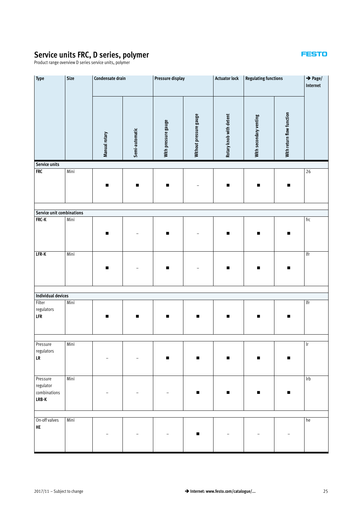Product range overview D series service units, polymer

| Type                                             | Size | Condensate drain |                | Pressure display    |                        | <b>Actuator lock</b>    | <b>Regulating functions</b> | $\rightarrow$ Page/<br>Internet |                                         |
|--------------------------------------------------|------|------------------|----------------|---------------------|------------------------|-------------------------|-----------------------------|---------------------------------|-----------------------------------------|
|                                                  |      | Manual rotary    | Semi-automatic | With pressure gauge | Without pressure gauge | Rotary knob with detent | With secondary venting      | With return flow function       |                                         |
| Service units<br><b>FRC</b>                      | Mini |                  |                |                     |                        |                         |                             |                                 | 26                                      |
|                                                  |      | $\blacksquare$   | $\blacksquare$ | П                   |                        | п                       | $\blacksquare$              | ■                               |                                         |
| Service unit combinations                        |      |                  |                |                     |                        |                         |                             |                                 |                                         |
| FRC-K                                            | Mini |                  |                |                     |                        |                         | ■                           | П                               | frc                                     |
| $LFR-K$                                          | Mini | п                |                | П                   |                        | ■                       | п                           | п                               | lfr                                     |
| <b>Individual devices</b>                        |      |                  |                |                     |                        |                         |                             |                                 |                                         |
| Filter                                           | Mini |                  |                |                     |                        |                         |                             |                                 | lfr                                     |
| regulators<br>$\ensuremath{\mathsf{LFR}}\xspace$ |      | ■                | П              | п                   | ■                      | ■                       | ■                           | п                               |                                         |
| Pressure<br>regulators<br>${\sf LR}$             | Mini |                  |                | ■                   | п                      | п                       | ■                           | ٠                               | $\ensuremath{\operatorname{lr}}\xspace$ |
| Pressure<br>regulator<br>combinations<br>$LRB-K$ | Mini |                  |                |                     | п                      | ■                       | п                           | п                               | $\ensuremath{\mathsf{lrb}}$             |
| On-off valves<br>HE                              | Mini |                  |                |                     | п                      |                         |                             |                                 | ${\sf he}$                              |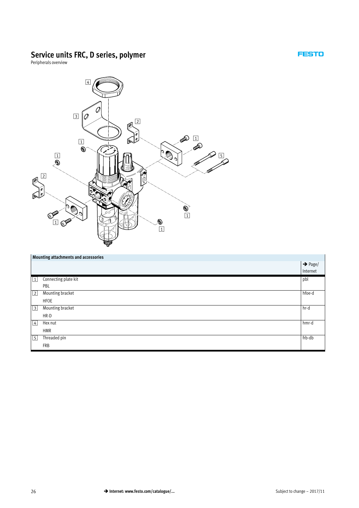**FESTO** 

<span id="page-25-0"></span>Peripherals overview



|                     | Mounting attachments and accessories |                     |
|---------------------|--------------------------------------|---------------------|
|                     |                                      | $\rightarrow$ Page/ |
|                     |                                      | Internet            |
| 1                   | Connecting plate kit                 | pbl                 |
|                     | PBL                                  |                     |
| $\lfloor 2 \rfloor$ | Mounting bracket                     | hfoe-d              |
|                     | <b>HFOE</b>                          |                     |
| $\vert$ 3           | Mounting bracket                     | hr-d                |
|                     | HR-D                                 |                     |
| $\lfloor 4 \rfloor$ | Hex nut                              | hmr-d               |
|                     | <b>HMR</b>                           |                     |
| $\lfloor 5 \rfloor$ | Threaded pin                         | frb-db              |
|                     | <b>FRB</b>                           |                     |
|                     |                                      |                     |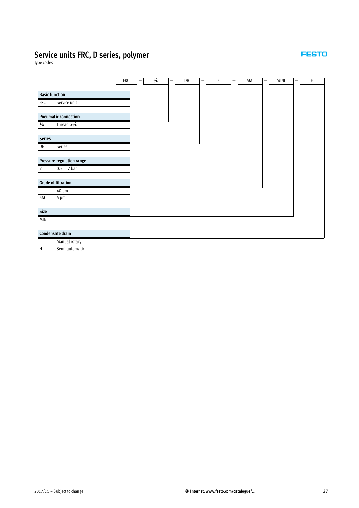Type codes

|                       |                             | <b>FRC</b> | $\overline{\phantom{0}}$ | 1/4 | $\overline{\phantom{m}}$ | DB | — | $\overline{7}$ | $\overline{\phantom{0}}$ | $5M$ | - | MINI | - | $\boldsymbol{\mathsf{H}}$ |
|-----------------------|-----------------------------|------------|--------------------------|-----|--------------------------|----|---|----------------|--------------------------|------|---|------|---|---------------------------|
|                       |                             |            |                          |     |                          |    |   |                |                          |      |   |      |   |                           |
| <b>Basic function</b> |                             |            |                          |     |                          |    |   |                |                          |      |   |      |   |                           |
| <b>FRC</b>            | Service unit                |            |                          |     |                          |    |   |                |                          |      |   |      |   |                           |
|                       |                             |            |                          |     |                          |    |   |                |                          |      |   |      |   |                           |
|                       | <b>Pneumatic connection</b> |            |                          |     |                          |    |   |                |                          |      |   |      |   |                           |
| $\frac{1}{4}$         | Thread G <sup>1</sup> /4    |            |                          |     |                          |    |   |                |                          |      |   |      |   |                           |
|                       |                             |            |                          |     |                          |    |   |                |                          |      |   |      |   |                           |
| <b>Series</b>         |                             |            |                          |     |                          |    |   |                |                          |      |   |      |   |                           |
| ${\sf DB}$            | Series                      |            |                          |     |                          |    |   |                |                          |      |   |      |   |                           |
|                       |                             |            |                          |     |                          |    |   |                |                          |      |   |      |   |                           |
|                       | Pressure regulation range   |            |                          |     |                          |    |   |                |                          |      |   |      |   |                           |
| $\overline{7}$        | 0.5  7 bar                  |            |                          |     |                          |    |   |                |                          |      |   |      |   |                           |
|                       |                             |            |                          |     |                          |    |   |                |                          |      |   |      |   |                           |
|                       | <b>Grade of filtration</b>  |            |                          |     |                          |    |   |                |                          |      |   |      |   |                           |
|                       | 40 µm                       |            |                          |     |                          |    |   |                |                          |      |   |      |   |                           |
| 5M                    | $5 \mu m$                   |            |                          |     |                          |    |   |                |                          |      |   |      |   |                           |
|                       |                             |            |                          |     |                          |    |   |                |                          |      |   |      |   |                           |
| Size                  |                             |            |                          |     |                          |    |   |                |                          |      |   |      |   |                           |
| <b>MINI</b>           |                             |            |                          |     |                          |    |   |                |                          |      |   |      |   |                           |
|                       |                             |            |                          |     |                          |    |   |                |                          |      |   |      |   |                           |
|                       | Condensate drain            |            |                          |     |                          |    |   |                |                          |      |   |      |   |                           |
|                       | Manual rotary               |            |                          |     |                          |    |   |                |                          |      |   |      |   |                           |
| $\mathsf{H}$          | Semi-automatic              |            |                          |     |                          |    |   |                |                          |      |   |      |   |                           |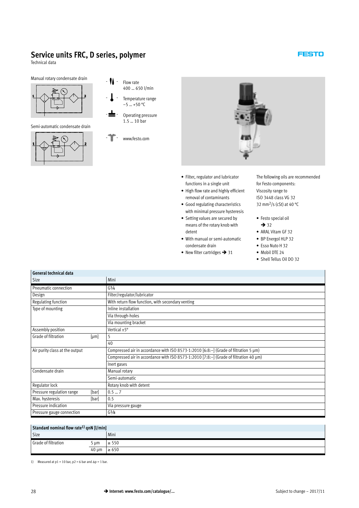Technical data

#### Manual rotary condensate drain



Semi-automatic condensate drain



400 … 650 l/min Temperature range

- Flow rate

 $-5$  ... +50 °C

Operating pressure 1.5 … 10 bar

 $-\sqrt{\frac{2}{3}}$  - www.festo.com



- Filter, regulator and lubricator functions in a single unit
- High flow rate and highly efficient removal of contaminants
- Good regulating characteristics with minimal pressure hysteresis
- Setting values are secured by means of the rotary knob with detent
- With manual or semi-automatic condensate drain
- New filter cartridges > [31](#page-30-0)
- The following oils are recommended for Festo components: Viscosity range to ISO 3448 class VG 32 32 mm2/s (cSt) at 40 °C
- Festo special oil  $\rightarrow$  [32](#page-31-0)
- ARAL Vitam GF 32
- BP Energol HLP 32
- Esso Nuto H 32
- Mobil DTE 24
- Shell Tellus Oil DO 32

٦

#### **General technical data**

| Size                           |       | Mini                                                                                  |
|--------------------------------|-------|---------------------------------------------------------------------------------------|
| Pneumatic connection           |       | $G^{1/4}$                                                                             |
| Design                         |       | Filter/regulator/lubricator                                                           |
| Regulating function            |       | With return flow function, with secondary venting                                     |
| Type of mounting               |       | Inline installation                                                                   |
|                                |       | Via through-holes                                                                     |
|                                |       | Via mounting bracket                                                                  |
| Assembly position              |       | Vertical ±5°                                                                          |
| Grade of filtration            | [µm]  | 5                                                                                     |
|                                |       | 40                                                                                    |
| Air purity class at the output |       | Compressed air in accordance with ISO 8573-1:2010 [6:8:-] (Grade of filtration 5 µm)  |
|                                |       | Compressed air in accordance with ISO 8573-1:2010 [7:8:-] (Grade of filtration 40 µm) |
|                                |       | Inert gases                                                                           |
| Condensate drain               |       | Manual rotary                                                                         |
|                                |       | Semi-automatic                                                                        |
| Regulator lock                 |       | Rotary knob with detent                                                               |
| Pressure regulation range      | [bar] | 0.57                                                                                  |
| Max. hysteresis                | [bar] | 0.5                                                                                   |
| Pressure indication            |       | Via pressure gauge                                                                    |
| Pressure gauge connection      |       | $G\frac{1}{8}$                                                                        |

| Standard nominal flow rate <sup>1)</sup> qnN [l/min] |       |            |
|------------------------------------------------------|-------|------------|
| Size                                                 |       | Mini       |
| Grade of filtration                                  | i µm  | $\geq 550$ |
|                                                      | 40 um | $\geq 650$ |

1) Measured at  $p1 = 10$  bar,  $p2 = 6$  bar and  $\Delta p = 1$  bar.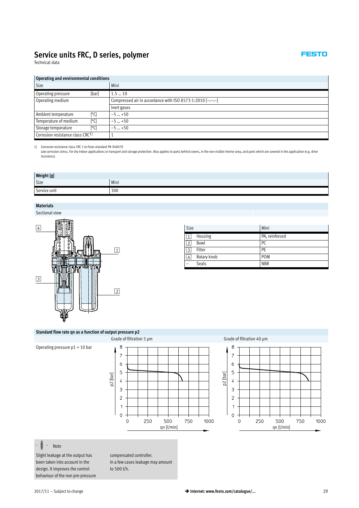Technical data

#### **Operating and environmental conditions**

| <b>Size</b>                                  |       | Mini                                                        |
|----------------------------------------------|-------|-------------------------------------------------------------|
| Operating pressure                           | [bar] | 1.510                                                       |
| Operating medium                             |       | Compressed air in accordance with ISO 8573-1:2010 $[-:-]-]$ |
|                                              |       | Inert gases                                                 |
| Ambient temperature                          | [°C]  | $-5+50$                                                     |
| Temperature of medium                        | [°C]  | $-5$ +50                                                    |
| Storage temperature                          | [°C]  | $-5$ +50                                                    |
| Corrosion resistance class CRC <sup>1)</sup> |       |                                                             |

1) Corrosion resistance class CRC 1 to Festo standard FN 940070

Low corrosion stress. For dry indoor applications or transport and storage protection. Also applies to parts behind covers, in the non-visible interior area, and parts which are covered in the application (e.g. drive trunnions).

| Weight [g]   |      |
|--------------|------|
| Size         | Mini |
| Service unit | 300  |

#### **Materials**

Sectional view



| <b>Size</b>    |              | Mini           |
|----------------|--------------|----------------|
| $\mathbf{1}$   | Housing      | PA, reinforced |
| $\overline{2}$ | Bowl         | PC.            |
| 13             | Filter       | PE             |
| 4              | Rotary knob  | <b>POM</b>     |
|                | <b>Seals</b> | <b>NBR</b>     |

#### **Standard flow rate qn as a function of output pressure p2**



#### $\frac{1}{2}$  - Note

Slight leakage at the output has been taken into account in the design. It improves the control behaviour of the non pre-pressure

compensated controller. In a few cases leakage may amount to 500 l/h.

**FESTO** 

1000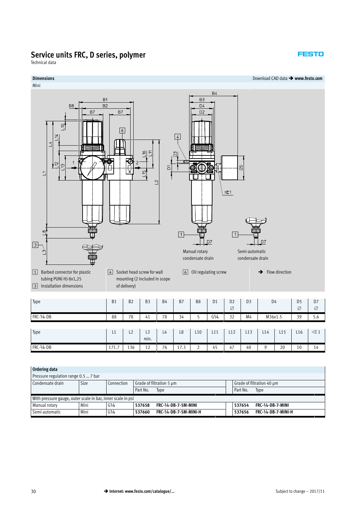#### **FESTO**

Technical data



| $\frac{1}{2}$ . The state is contained in the state of $\frac{1}{2}$ or $\frac{1}{2}$ in the state is a set of $\frac{1}{2}$ |             |            |                          |                             |                           |          |                     |  |  |
|------------------------------------------------------------------------------------------------------------------------------|-------------|------------|--------------------------|-----------------------------|---------------------------|----------|---------------------|--|--|
| Condensate drain                                                                                                             | <b>Size</b> | Connection | Grade of filtration 5 µm |                             | Grade of filtration 40 µm |          |                     |  |  |
|                                                                                                                              |             |            | Part No.                 | Type                        |                           | Part No. | Type                |  |  |
| With pressure gauge, outer scale in bar, inner scale in psi                                                                  |             |            |                          |                             |                           |          |                     |  |  |
| Manual rotary                                                                                                                | Mini        | $G^{1/4}$  | 537658                   | <b>FRC-1/4-DB-7-5M-MINI</b> |                           | 537654   | FRC-1/4-DB-7-MINI   |  |  |
| Semi-automatic                                                                                                               | Mini        | $G^{1/4}$  | 537660                   | FRC-1/4-DB-7-5M-MINI-H      |                           | 537656   | FRC-1/4-DB-7-MINI-H |  |  |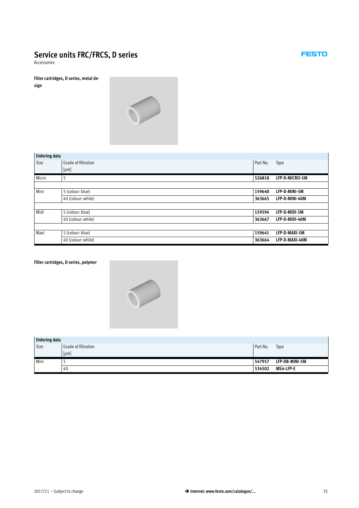### <span id="page-30-0"></span>**Service units FRC/FRCS, D series**

Accessories

**Filter cartridges, D series, metal design**



| Ordering data |                     |                          |
|---------------|---------------------|--------------------------|
| Size          | Grade of filtration | Part No.<br>Type         |
|               | [µm]                |                          |
| Micro         | כ                   | 526818<br>LFP-D-MICRO-5M |
|               |                     |                          |
| Mini          | 5 (colour: blue)    | 159640<br>LFP-D-MINI-5M  |
|               | 40 (colour: white)  | LFP-D-MINI-40M<br>363665 |
|               |                     |                          |
| Midi          | 5 (colour: blue)    | LFP-D-MIDI-5M<br>159594  |
|               | 40 (colour: white)  | LFP-D-MIDI-40M<br>363667 |
|               |                     |                          |
| Maxi          | 5 (colour: blue)    | LFP-D-MAXI-5M<br>159641  |
|               | 40 (colour: white)  | LFP-D-MAXI-40M<br>363664 |
|               |                     |                          |

#### **Filter cartridges, D series, polymer**



| Ordering data |                     |          |                |
|---------------|---------------------|----------|----------------|
| Size          | Grade of filtration | Part No. | Type           |
|               | [µm]                |          |                |
| Mini          |                     | 547957   | LFP-DB-MINI-5M |
|               | 40                  | 534502   | MS4-LFP-E      |